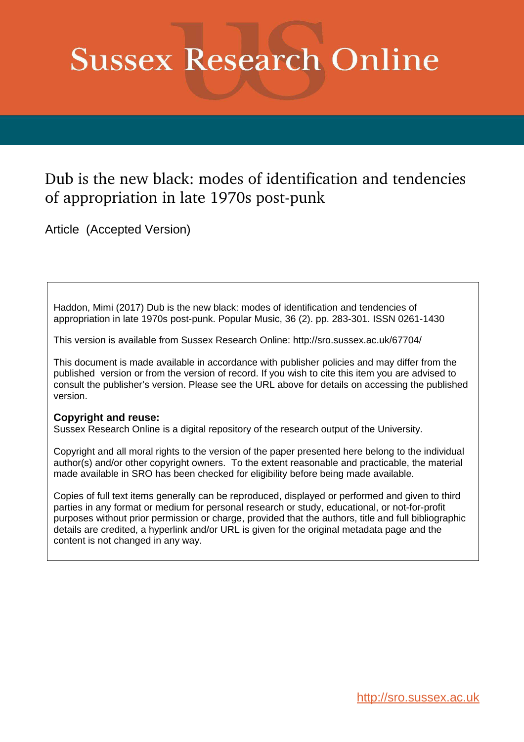# **Sussex Research Online**

# Dub is the new black: modes of identification and tendencies of appropriation in late 1970s post-punk

Article (Accepted Version)

Haddon, Mimi (2017) Dub is the new black: modes of identification and tendencies of appropriation in late 1970s post-punk. Popular Music, 36 (2). pp. 283-301. ISSN 0261-1430

This version is available from Sussex Research Online: http://sro.sussex.ac.uk/67704/

This document is made available in accordance with publisher policies and may differ from the published version or from the version of record. If you wish to cite this item you are advised to consult the publisher's version. Please see the URL above for details on accessing the published version.

## **Copyright and reuse:**

Sussex Research Online is a digital repository of the research output of the University.

Copyright and all moral rights to the version of the paper presented here belong to the individual author(s) and/or other copyright owners. To the extent reasonable and practicable, the material made available in SRO has been checked for eligibility before being made available.

Copies of full text items generally can be reproduced, displayed or performed and given to third parties in any format or medium for personal research or study, educational, or not-for-profit purposes without prior permission or charge, provided that the authors, title and full bibliographic details are credited, a hyperlink and/or URL is given for the original metadata page and the content is not changed in any way.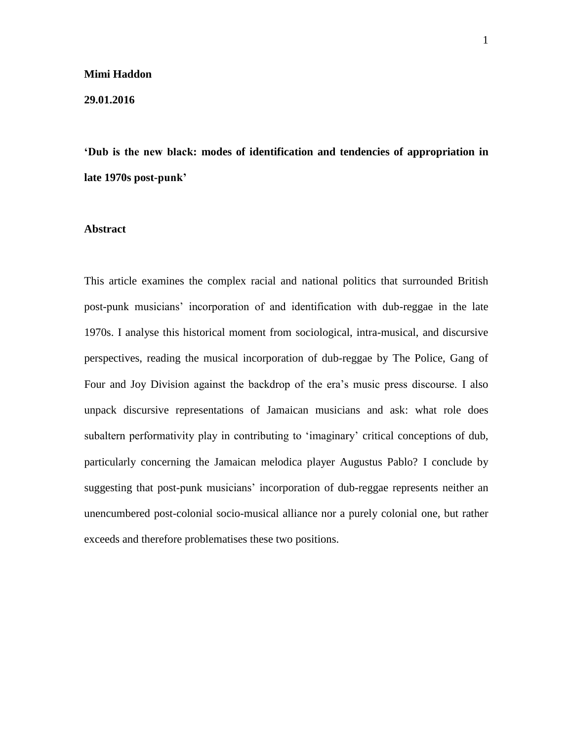#### **Mimi Haddon**

**29.01.2016** 

**'Dub is the new black: modes of identification and tendencies of appropriation in late 1970s post-punk'**

#### **Abstract**

This article examines the complex racial and national politics that surrounded British post-punk musicians' incorporation of and identification with dub-reggae in the late 1970s. I analyse this historical moment from sociological, intra-musical, and discursive perspectives, reading the musical incorporation of dub-reggae by The Police, Gang of Four and Joy Division against the backdrop of the era's music press discourse. I also unpack discursive representations of Jamaican musicians and ask: what role does subaltern performativity play in contributing to 'imaginary' critical conceptions of dub, particularly concerning the Jamaican melodica player Augustus Pablo? I conclude by suggesting that post-punk musicians' incorporation of dub-reggae represents neither an unencumbered post-colonial socio-musical alliance nor a purely colonial one, but rather exceeds and therefore problematises these two positions.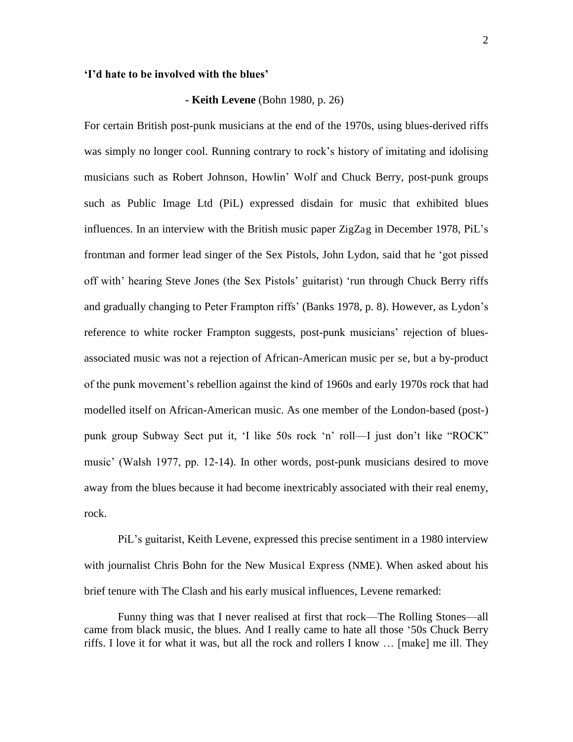#### **'I'd hate to be involved with the blues'**

#### **- Keith Levene** (Bohn 1980, p. 26)

For certain British post-punk musicians at the end of the 1970s, using blues-derived riffs was simply no longer cool. Running contrary to rock's history of imitating and idolising musicians such as Robert Johnson, Howlin' Wolf and Chuck Berry, post-punk groups such as Public Image Ltd (PiL) expressed disdain for music that exhibited blues influences. In an interview with the British music paper ZigZag in December 1978, PiL's frontman and former lead singer of the Sex Pistols, John Lydon, said that he 'got pissed off with' hearing Steve Jones (the Sex Pistols' guitarist) 'run through Chuck Berry riffs and gradually changing to Peter Frampton riffs' (Banks 1978, p. 8). However, as Lydon's reference to white rocker Frampton suggests, post-punk musicians' rejection of bluesassociated music was not a rejection of African-American music per se, but a by-product of the punk movement's rebellion against the kind of 1960s and early 1970s rock that had modelled itself on African-American music. As one member of the London-based (post-) punk group Subway Sect put it, 'I like 50s rock 'n' roll—I just don't like "ROCK" music' (Walsh 1977, pp. 12-14). In other words, post-punk musicians desired to move away from the blues because it had become inextricably associated with their real enemy, rock.

PiL's guitarist, Keith Levene, expressed this precise sentiment in a 1980 interview with journalist Chris Bohn for the New Musical Express (NME). When asked about his brief tenure with The Clash and his early musical influences, Levene remarked:

Funny thing was that I never realised at first that rock—The Rolling Stones—all came from black music, the blues. And I really came to hate all those '50s Chuck Berry riffs. I love it for what it was, but all the rock and rollers I know … [make] me ill. They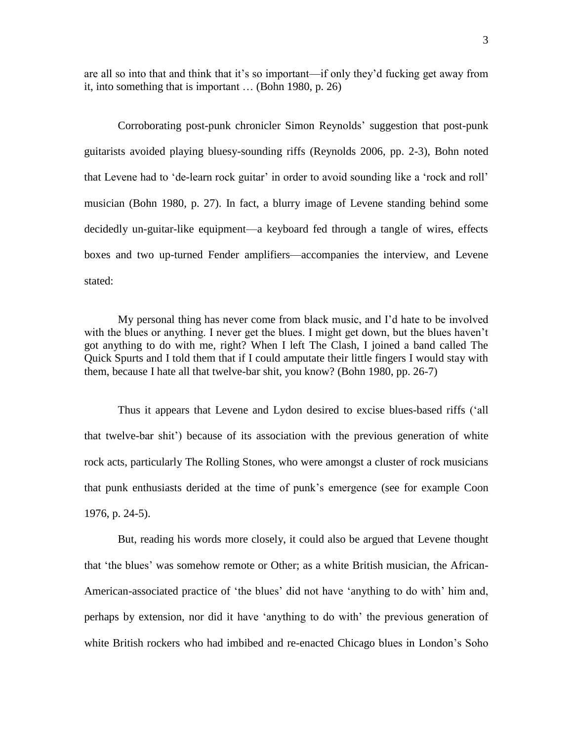are all so into that and think that it's so important—if only they'd fucking get away from it, into something that is important … (Bohn 1980, p. 26)

Corroborating post-punk chronicler Simon Reynolds' suggestion that post-punk guitarists avoided playing bluesy-sounding riffs (Reynolds 2006, pp. 2-3), Bohn noted that Levene had to 'de-learn rock guitar' in order to avoid sounding like a 'rock and roll' musician (Bohn 1980, p. 27). In fact, a blurry image of Levene standing behind some decidedly un-guitar-like equipment—a keyboard fed through a tangle of wires, effects boxes and two up-turned Fender amplifiers—accompanies the interview, and Levene stated:

My personal thing has never come from black music, and I'd hate to be involved with the blues or anything. I never get the blues. I might get down, but the blues haven't got anything to do with me, right? When I left The Clash, I joined a band called The Quick Spurts and I told them that if I could amputate their little fingers I would stay with them, because I hate all that twelve-bar shit, you know? (Bohn 1980, pp. 26-7)

Thus it appears that Levene and Lydon desired to excise blues-based riffs ('all that twelve-bar shit') because of its association with the previous generation of white rock acts, particularly The Rolling Stones, who were amongst a cluster of rock musicians that punk enthusiasts derided at the time of punk's emergence (see for example Coon 1976, p. 24-5).

But, reading his words more closely, it could also be argued that Levene thought that 'the blues' was somehow remote or Other; as a white British musician, the African-American-associated practice of 'the blues' did not have 'anything to do with' him and, perhaps by extension, nor did it have 'anything to do with' the previous generation of white British rockers who had imbibed and re-enacted Chicago blues in London's Soho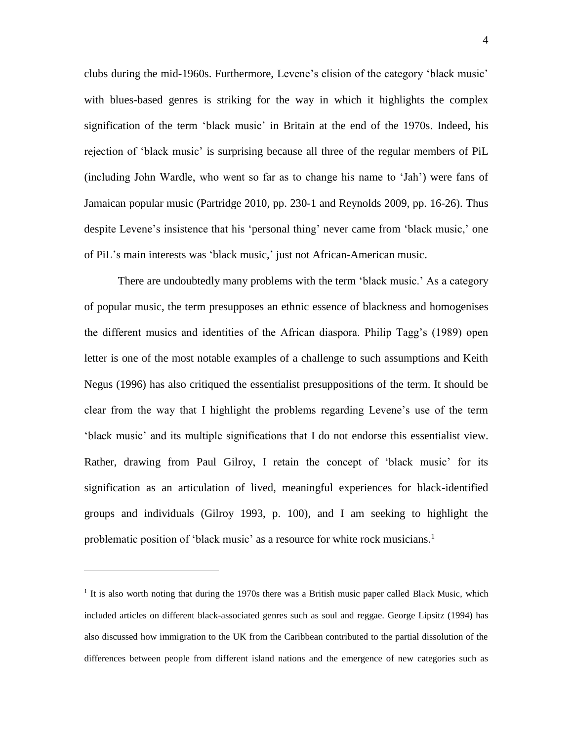clubs during the mid-1960s. Furthermore, Levene's elision of the category 'black music' with blues-based genres is striking for the way in which it highlights the complex signification of the term 'black music' in Britain at the end of the 1970s. Indeed, his rejection of 'black music' is surprising because all three of the regular members of PiL (including John Wardle, who went so far as to change his name to 'Jah') were fans of Jamaican popular music (Partridge 2010, pp. 230-1 and Reynolds 2009, pp. 16-26). Thus despite Levene's insistence that his 'personal thing' never came from 'black music,' one of PiL's main interests was 'black music,' just not African-American music.

There are undoubtedly many problems with the term 'black music.' As a category of popular music, the term presupposes an ethnic essence of blackness and homogenises the different musics and identities of the African diaspora. Philip Tagg's (1989) open letter is one of the most notable examples of a challenge to such assumptions and Keith Negus (1996) has also critiqued the essentialist presuppositions of the term. It should be clear from the way that I highlight the problems regarding Levene's use of the term 'black music' and its multiple significations that I do not endorse this essentialist view. Rather, drawing from Paul Gilroy, I retain the concept of 'black music' for its signification as an articulation of lived, meaningful experiences for black-identified groups and individuals (Gilroy 1993, p. 100), and I am seeking to highlight the problematic position of 'black music' as a resource for white rock musicians.<sup>1</sup>

 $\overline{a}$ 

<sup>&</sup>lt;sup>1</sup> It is also worth noting that during the 1970s there was a British music paper called Black Music, which included articles on different black-associated genres such as soul and reggae. George Lipsitz (1994) has also discussed how immigration to the UK from the Caribbean contributed to the partial dissolution of the differences between people from different island nations and the emergence of new categories such as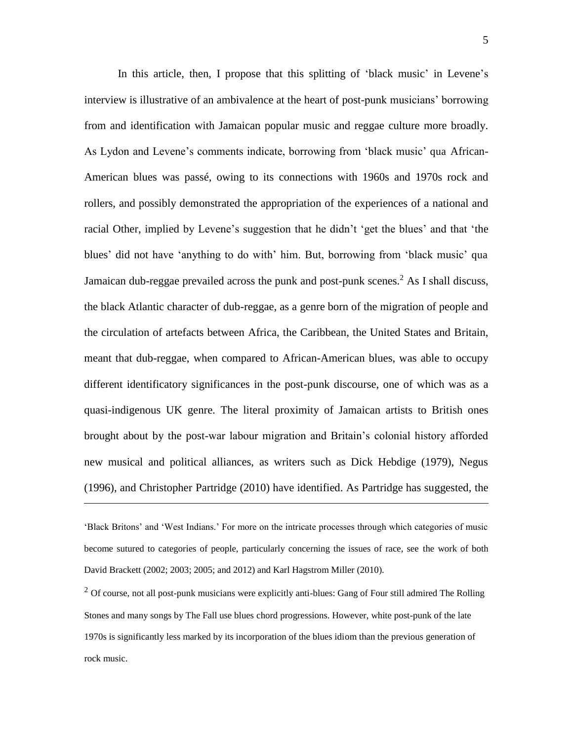In this article, then, I propose that this splitting of 'black music' in Levene's interview is illustrative of an ambivalence at the heart of post-punk musicians' borrowing from and identification with Jamaican popular music and reggae culture more broadly. As Lydon and Levene's comments indicate, borrowing from 'black music' qua African-American blues was passé, owing to its connections with 1960s and 1970s rock and rollers, and possibly demonstrated the appropriation of the experiences of a national and racial Other, implied by Levene's suggestion that he didn't 'get the blues' and that 'the blues' did not have 'anything to do with' him. But, borrowing from 'black music' qua Jamaican dub-reggae prevailed across the punk and post-punk scenes.<sup>2</sup> As I shall discuss, the black Atlantic character of dub-reggae, as a genre born of the migration of people and the circulation of artefacts between Africa, the Caribbean, the United States and Britain, meant that dub-reggae, when compared to African-American blues, was able to occupy different identificatory significances in the post-punk discourse, one of which was as a quasi-indigenous UK genre. The literal proximity of Jamaican artists to British ones brought about by the post-war labour migration and Britain's colonial history afforded new musical and political alliances, as writers such as Dick Hebdige (1979), Negus (1996), and Christopher Partridge (2010) have identified. As Partridge has suggested, the

'Black Britons' and 'West Indians.' For more on the intricate processes through which categories of music become sutured to categories of people, particularly concerning the issues of race, see the work of both David Brackett (2002; 2003; 2005; and 2012) and Karl Hagstrom Miller (2010).

 $\overline{a}$ 

 $2$  Of course, not all post-punk musicians were explicitly anti-blues: Gang of Four still admired The Rolling Stones and many songs by The Fall use blues chord progressions. However, white post-punk of the late 1970s is significantly less marked by its incorporation of the blues idiom than the previous generation of rock music.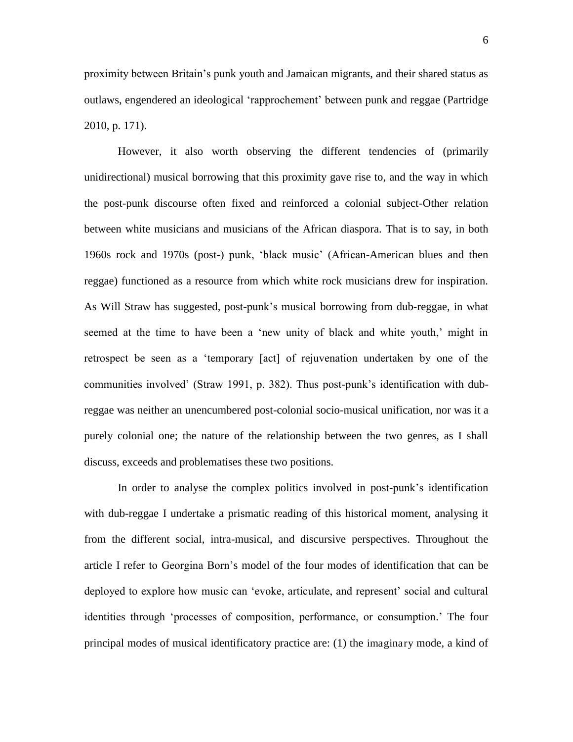proximity between Britain's punk youth and Jamaican migrants, and their shared status as outlaws, engendered an ideological 'rapprochement' between punk and reggae (Partridge 2010, p. 171).

However, it also worth observing the different tendencies of (primarily unidirectional) musical borrowing that this proximity gave rise to, and the way in which the post-punk discourse often fixed and reinforced a colonial subject-Other relation between white musicians and musicians of the African diaspora. That is to say, in both 1960s rock and 1970s (post-) punk, 'black music' (African-American blues and then reggae) functioned as a resource from which white rock musicians drew for inspiration. As Will Straw has suggested, post-punk's musical borrowing from dub-reggae, in what seemed at the time to have been a 'new unity of black and white youth,' might in retrospect be seen as a 'temporary [act] of rejuvenation undertaken by one of the communities involved' (Straw 1991, p. 382). Thus post-punk's identification with dubreggae was neither an unencumbered post-colonial socio-musical unification, nor was it a purely colonial one; the nature of the relationship between the two genres, as I shall discuss, exceeds and problematises these two positions.

In order to analyse the complex politics involved in post-punk's identification with dub-reggae I undertake a prismatic reading of this historical moment, analysing it from the different social, intra-musical, and discursive perspectives. Throughout the article I refer to Georgina Born's model of the four modes of identification that can be deployed to explore how music can 'evoke, articulate, and represent' social and cultural identities through 'processes of composition, performance, or consumption.' The four principal modes of musical identificatory practice are: (1) the imaginary mode, a kind of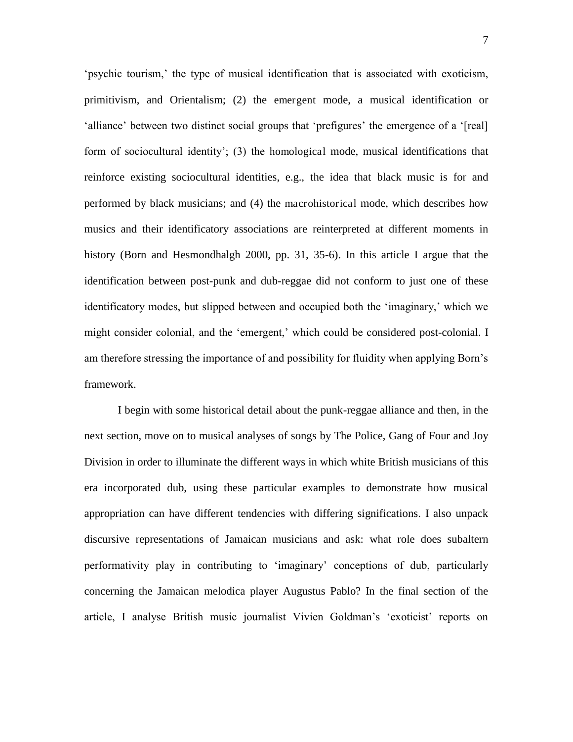'psychic tourism,' the type of musical identification that is associated with exoticism, primitivism, and Orientalism; (2) the emergent mode, a musical identification or 'alliance' between two distinct social groups that 'prefigures' the emergence of a '[real] form of sociocultural identity'; (3) the homological mode, musical identifications that reinforce existing sociocultural identities, e.g., the idea that black music is for and performed by black musicians; and (4) the macrohistorical mode, which describes how musics and their identificatory associations are reinterpreted at different moments in history (Born and Hesmondhalgh 2000, pp. 31, 35-6). In this article I argue that the identification between post-punk and dub-reggae did not conform to just one of these identificatory modes, but slipped between and occupied both the 'imaginary,' which we might consider colonial, and the 'emergent,' which could be considered post-colonial. I am therefore stressing the importance of and possibility for fluidity when applying Born's framework.

I begin with some historical detail about the punk-reggae alliance and then, in the next section, move on to musical analyses of songs by The Police, Gang of Four and Joy Division in order to illuminate the different ways in which white British musicians of this era incorporated dub, using these particular examples to demonstrate how musical appropriation can have different tendencies with differing significations. I also unpack discursive representations of Jamaican musicians and ask: what role does subaltern performativity play in contributing to 'imaginary' conceptions of dub, particularly concerning the Jamaican melodica player Augustus Pablo? In the final section of the article, I analyse British music journalist Vivien Goldman's 'exoticist' reports on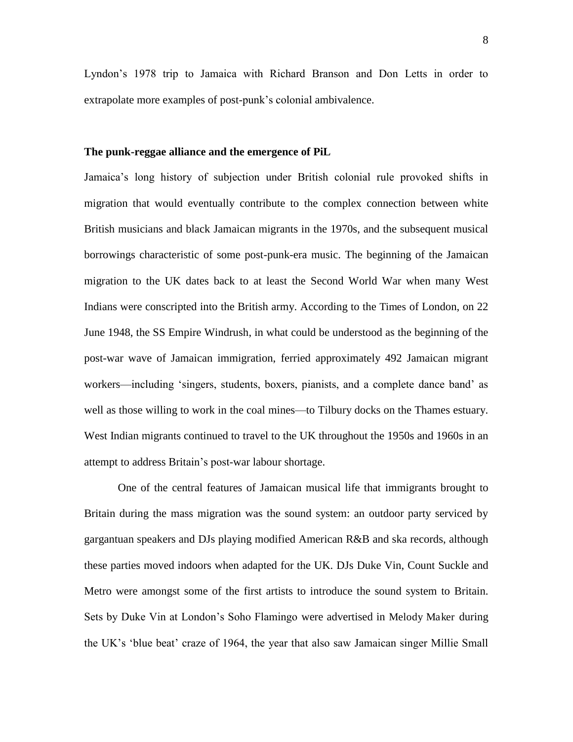Lyndon's 1978 trip to Jamaica with Richard Branson and Don Letts in order to extrapolate more examples of post-punk's colonial ambivalence.

#### **The punk-reggae alliance and the emergence of PiL**

Jamaica's long history of subjection under British colonial rule provoked shifts in migration that would eventually contribute to the complex connection between white British musicians and black Jamaican migrants in the 1970s, and the subsequent musical borrowings characteristic of some post-punk-era music. The beginning of the Jamaican migration to the UK dates back to at least the Second World War when many West Indians were conscripted into the British army. According to the Times of London, on 22 June 1948, the SS Empire Windrush, in what could be understood as the beginning of the post-war wave of Jamaican immigration, ferried approximately 492 Jamaican migrant workers—including 'singers, students, boxers, pianists, and a complete dance band' as well as those willing to work in the coal mines—to Tilbury docks on the Thames estuary. West Indian migrants continued to travel to the UK throughout the 1950s and 1960s in an attempt to address Britain's post-war labour shortage.

One of the central features of Jamaican musical life that immigrants brought to Britain during the mass migration was the sound system: an outdoor party serviced by gargantuan speakers and DJs playing modified American R&B and ska records, although these parties moved indoors when adapted for the UK. DJs Duke Vin, Count Suckle and Metro were amongst some of the first artists to introduce the sound system to Britain. Sets by Duke Vin at London's Soho Flamingo were advertised in Melody Maker during the UK's 'blue beat' craze of 1964, the year that also saw Jamaican singer Millie Small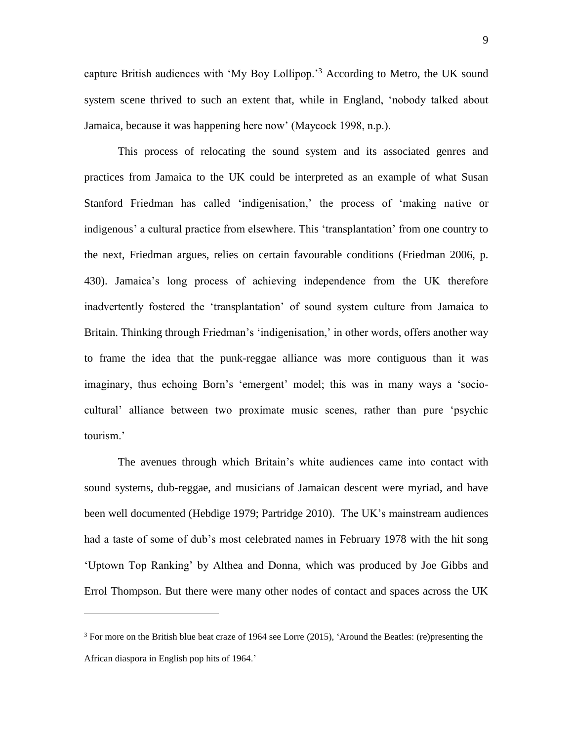capture British audiences with 'My Boy Lollipop.'<sup>3</sup> According to Metro, the UK sound system scene thrived to such an extent that, while in England, 'nobody talked about Jamaica, because it was happening here now' (Maycock 1998, n.p.).

This process of relocating the sound system and its associated genres and practices from Jamaica to the UK could be interpreted as an example of what Susan Stanford Friedman has called 'indigenisation,' the process of 'making native or indigenous' a cultural practice from elsewhere. This 'transplantation' from one country to the next, Friedman argues, relies on certain favourable conditions (Friedman 2006, p. 430). Jamaica's long process of achieving independence from the UK therefore inadvertently fostered the 'transplantation' of sound system culture from Jamaica to Britain. Thinking through Friedman's 'indigenisation,' in other words, offers another way to frame the idea that the punk-reggae alliance was more contiguous than it was imaginary, thus echoing Born's 'emergent' model; this was in many ways a 'sociocultural' alliance between two proximate music scenes, rather than pure 'psychic tourism.'

The avenues through which Britain's white audiences came into contact with sound systems, dub-reggae, and musicians of Jamaican descent were myriad, and have been well documented (Hebdige 1979; Partridge 2010). The UK's mainstream audiences had a taste of some of dub's most celebrated names in February 1978 with the hit song 'Uptown Top Ranking' by Althea and Donna, which was produced by Joe Gibbs and Errol Thompson. But there were many other nodes of contact and spaces across the UK

 $\overline{a}$ 

 $3$  For more on the British blue beat craze of 1964 see Lorre (2015), 'Around the Beatles: (re)presenting the African diaspora in English pop hits of 1964.'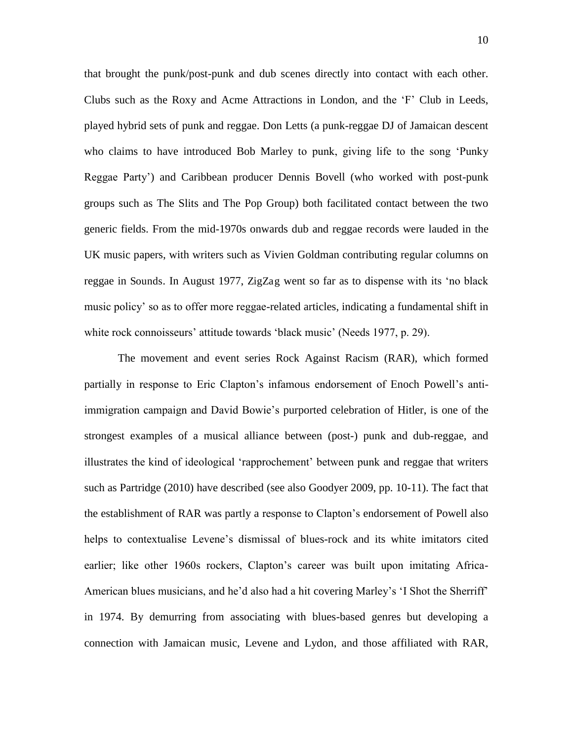that brought the punk/post-punk and dub scenes directly into contact with each other. Clubs such as the Roxy and Acme Attractions in London, and the 'F' Club in Leeds, played hybrid sets of punk and reggae. Don Letts (a punk-reggae DJ of Jamaican descent who claims to have introduced Bob Marley to punk, giving life to the song 'Punky Reggae Party') and Caribbean producer Dennis Bovell (who worked with post-punk groups such as The Slits and The Pop Group) both facilitated contact between the two generic fields. From the mid-1970s onwards dub and reggae records were lauded in the UK music papers, with writers such as Vivien Goldman contributing regular columns on reggae in Sounds. In August 1977, ZigZag went so far as to dispense with its 'no black music policy' so as to offer more reggae-related articles, indicating a fundamental shift in white rock connoisseurs' attitude towards 'black music' (Needs 1977, p. 29).

The movement and event series Rock Against Racism (RAR), which formed partially in response to Eric Clapton's infamous endorsement of Enoch Powell's antiimmigration campaign and David Bowie's purported celebration of Hitler, is one of the strongest examples of a musical alliance between (post-) punk and dub-reggae, and illustrates the kind of ideological 'rapprochement' between punk and reggae that writers such as Partridge (2010) have described (see also Goodyer 2009, pp. 10-11). The fact that the establishment of RAR was partly a response to Clapton's endorsement of Powell also helps to contextualise Levene's dismissal of blues-rock and its white imitators cited earlier; like other 1960s rockers, Clapton's career was built upon imitating Africa-American blues musicians, and he'd also had a hit covering Marley's 'I Shot the Sherriff' in 1974. By demurring from associating with blues-based genres but developing a connection with Jamaican music, Levene and Lydon, and those affiliated with RAR,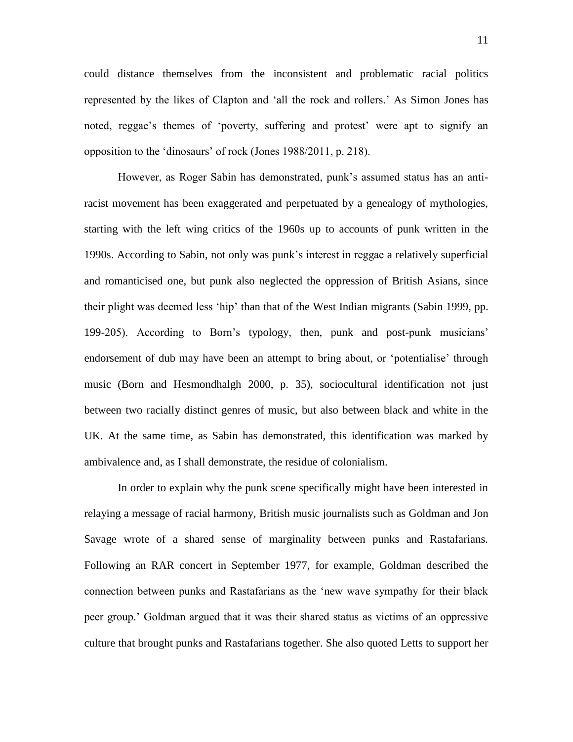could distance themselves from the inconsistent and problematic racial politics represented by the likes of Clapton and 'all the rock and rollers.' As Simon Jones has noted, reggae's themes of 'poverty, suffering and protest' were apt to signify an opposition to the 'dinosaurs' of rock (Jones 1988/2011, p. 218).

However, as Roger Sabin has demonstrated, punk's assumed status has an antiracist movement has been exaggerated and perpetuated by a genealogy of mythologies, starting with the left wing critics of the 1960s up to accounts of punk written in the 1990s. According to Sabin, not only was punk's interest in reggae a relatively superficial and romanticised one, but punk also neglected the oppression of British Asians, since their plight was deemed less 'hip' than that of the West Indian migrants (Sabin 1999, pp. 199-205). According to Born's typology, then, punk and post-punk musicians' endorsement of dub may have been an attempt to bring about, or 'potentialise' through music (Born and Hesmondhalgh 2000, p. 35), sociocultural identification not just between two racially distinct genres of music, but also between black and white in the UK. At the same time, as Sabin has demonstrated, this identification was marked by ambivalence and, as I shall demonstrate, the residue of colonialism.

In order to explain why the punk scene specifically might have been interested in relaying a message of racial harmony, British music journalists such as Goldman and Jon Savage wrote of a shared sense of marginality between punks and Rastafarians. Following an RAR concert in September 1977, for example, Goldman described the connection between punks and Rastafarians as the 'new wave sympathy for their black peer group.' Goldman argued that it was their shared status as victims of an oppressive culture that brought punks and Rastafarians together. She also quoted Letts to support her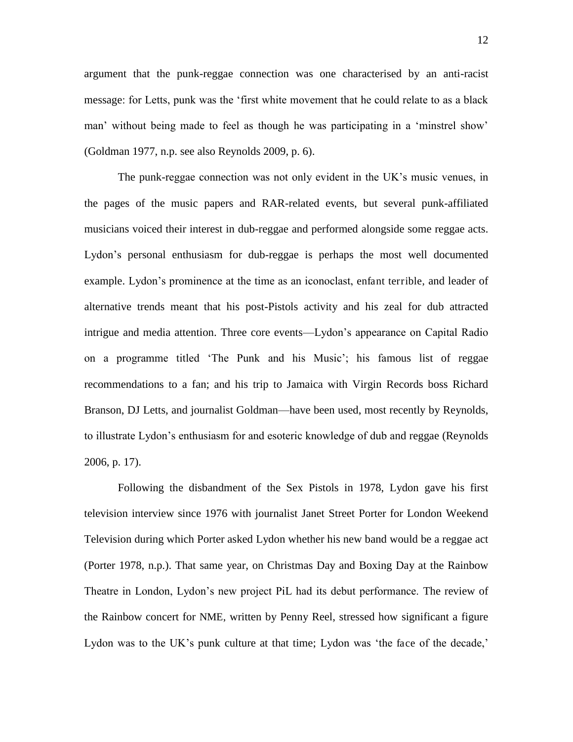argument that the punk-reggae connection was one characterised by an anti-racist message: for Letts, punk was the 'first white movement that he could relate to as a black man' without being made to feel as though he was participating in a 'minstrel show' (Goldman 1977, n.p. see also Reynolds 2009, p. 6).

The punk-reggae connection was not only evident in the UK's music venues, in the pages of the music papers and RAR-related events, but several punk-affiliated musicians voiced their interest in dub-reggae and performed alongside some reggae acts. Lydon's personal enthusiasm for dub-reggae is perhaps the most well documented example. Lydon's prominence at the time as an iconoclast, enfant terrible, and leader of alternative trends meant that his post-Pistols activity and his zeal for dub attracted intrigue and media attention. Three core events—Lydon's appearance on Capital Radio on a programme titled 'The Punk and his Music'; his famous list of reggae recommendations to a fan; and his trip to Jamaica with Virgin Records boss Richard Branson, DJ Letts, and journalist Goldman—have been used, most recently by Reynolds, to illustrate Lydon's enthusiasm for and esoteric knowledge of dub and reggae (Reynolds 2006, p. 17).

Following the disbandment of the Sex Pistols in 1978, Lydon gave his first television interview since 1976 with journalist Janet Street Porter for London Weekend Television during which Porter asked Lydon whether his new band would be a reggae act (Porter 1978, n.p.). That same year, on Christmas Day and Boxing Day at the Rainbow Theatre in London, Lydon's new project PiL had its debut performance. The review of the Rainbow concert for NME, written by Penny Reel, stressed how significant a figure Lydon was to the UK's punk culture at that time; Lydon was 'the face of the decade,'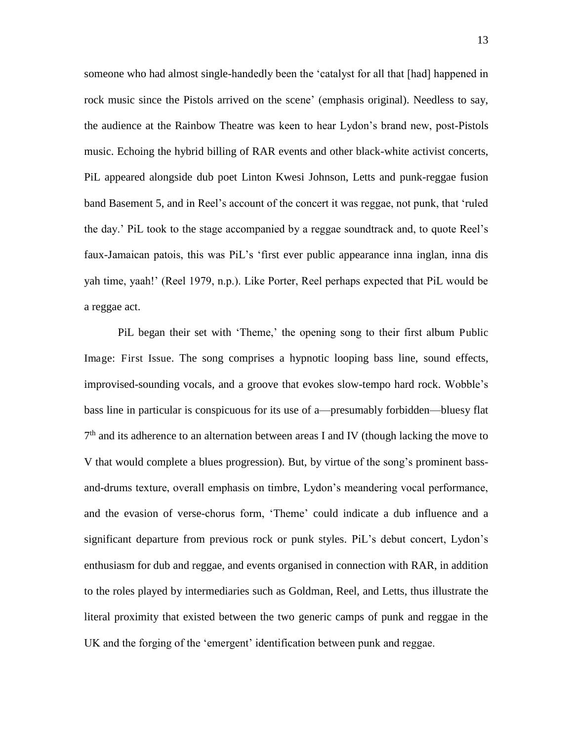someone who had almost single-handedly been the 'catalyst for all that [had] happened in rock music since the Pistols arrived on the scene' (emphasis original). Needless to say, the audience at the Rainbow Theatre was keen to hear Lydon's brand new, post-Pistols music. Echoing the hybrid billing of RAR events and other black-white activist concerts, PiL appeared alongside dub poet Linton Kwesi Johnson, Letts and punk-reggae fusion band Basement 5, and in Reel's account of the concert it was reggae, not punk, that 'ruled the day.' PiL took to the stage accompanied by a reggae soundtrack and, to quote Reel's faux-Jamaican patois, this was PiL's 'first ever public appearance inna inglan, inna dis yah time, yaah!' (Reel 1979, n.p.). Like Porter, Reel perhaps expected that PiL would be a reggae act.

PiL began their set with 'Theme,' the opening song to their first album Public Image: First Issue. The song comprises a hypnotic looping bass line, sound effects, improvised-sounding vocals, and a groove that evokes slow-tempo hard rock. Wobble's bass line in particular is conspicuous for its use of a—presumably forbidden—bluesy flat 7<sup>th</sup> and its adherence to an alternation between areas I and IV (though lacking the move to V that would complete a blues progression). But, by virtue of the song's prominent bassand-drums texture, overall emphasis on timbre, Lydon's meandering vocal performance, and the evasion of verse-chorus form, 'Theme' could indicate a dub influence and a significant departure from previous rock or punk styles. PiL's debut concert, Lydon's enthusiasm for dub and reggae, and events organised in connection with RAR, in addition to the roles played by intermediaries such as Goldman, Reel, and Letts, thus illustrate the literal proximity that existed between the two generic camps of punk and reggae in the UK and the forging of the 'emergent' identification between punk and reggae.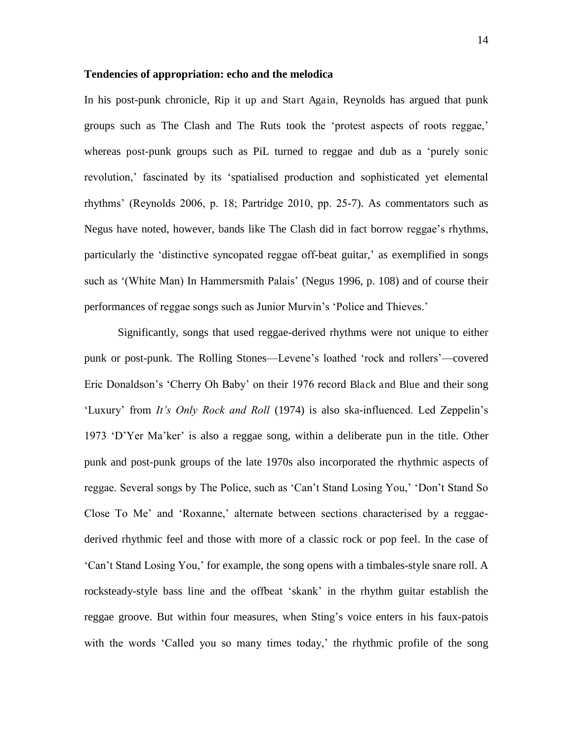#### **Tendencies of appropriation: echo and the melodica**

In his post-punk chronicle, Rip it up and Start Again, Reynolds has argued that punk groups such as The Clash and The Ruts took the 'protest aspects of roots reggae,' whereas post-punk groups such as PiL turned to reggae and dub as a 'purely sonic revolution,' fascinated by its 'spatialised production and sophisticated yet elemental rhythms' (Reynolds 2006, p. 18; Partridge 2010, pp. 25-7). As commentators such as Negus have noted, however, bands like The Clash did in fact borrow reggae's rhythms, particularly the 'distinctive syncopated reggae off-beat guitar,' as exemplified in songs such as '(White Man) In Hammersmith Palais' (Negus 1996, p. 108) and of course their performances of reggae songs such as Junior Murvin's 'Police and Thieves.'

 Significantly, songs that used reggae-derived rhythms were not unique to either punk or post-punk. The Rolling Stones—Levene's loathed 'rock and rollers'—covered Eric Donaldson's 'Cherry Oh Baby' on their 1976 record Black and Blue and their song 'Luxury' from *It's Only Rock and Roll* (1974) is also ska-influenced. Led Zeppelin's 1973 'D'Yer Ma'ker' is also a reggae song, within a deliberate pun in the title. Other punk and post-punk groups of the late 1970s also incorporated the rhythmic aspects of reggae. Several songs by The Police, such as 'Can't Stand Losing You,' 'Don't Stand So Close To Me' and 'Roxanne,' alternate between sections characterised by a reggaederived rhythmic feel and those with more of a classic rock or pop feel. In the case of 'Can't Stand Losing You,' for example, the song opens with a timbales-style snare roll. A rocksteady-style bass line and the offbeat 'skank' in the rhythm guitar establish the reggae groove. But within four measures, when Sting's voice enters in his faux-patois with the words 'Called you so many times today,' the rhythmic profile of the song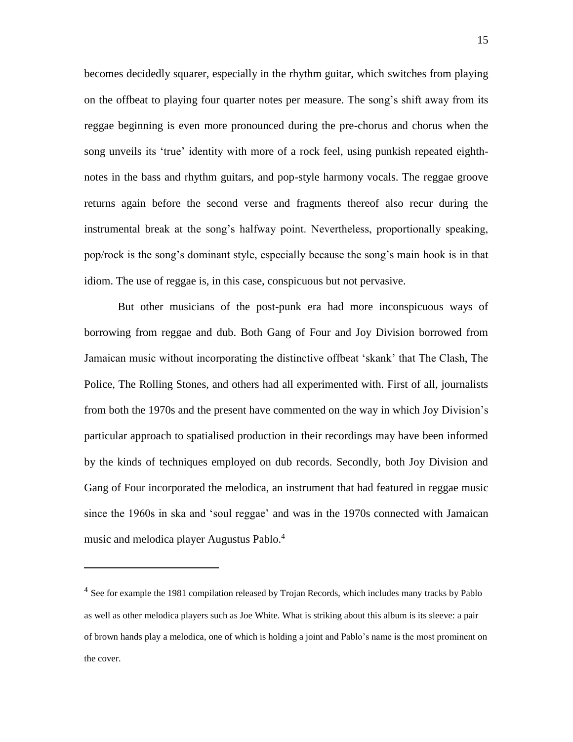becomes decidedly squarer, especially in the rhythm guitar, which switches from playing on the offbeat to playing four quarter notes per measure. The song's shift away from its reggae beginning is even more pronounced during the pre-chorus and chorus when the song unveils its 'true' identity with more of a rock feel, using punkish repeated eighthnotes in the bass and rhythm guitars, and pop-style harmony vocals. The reggae groove returns again before the second verse and fragments thereof also recur during the instrumental break at the song's halfway point. Nevertheless, proportionally speaking, pop/rock is the song's dominant style, especially because the song's main hook is in that idiom. The use of reggae is, in this case, conspicuous but not pervasive.

But other musicians of the post-punk era had more inconspicuous ways of borrowing from reggae and dub. Both Gang of Four and Joy Division borrowed from Jamaican music without incorporating the distinctive offbeat 'skank' that The Clash, The Police, The Rolling Stones, and others had all experimented with. First of all, journalists from both the 1970s and the present have commented on the way in which Joy Division's particular approach to spatialised production in their recordings may have been informed by the kinds of techniques employed on dub records. Secondly, both Joy Division and Gang of Four incorporated the melodica, an instrument that had featured in reggae music since the 1960s in ska and 'soul reggae' and was in the 1970s connected with Jamaican music and melodica player Augustus Pablo.<sup>4</sup>

 $\overline{a}$ 

<sup>&</sup>lt;sup>4</sup> See for example the 1981 compilation released by Trojan Records, which includes many tracks by Pablo as well as other melodica players such as Joe White. What is striking about this album is its sleeve: a pair of brown hands play a melodica, one of which is holding a joint and Pablo's name is the most prominent on the cover.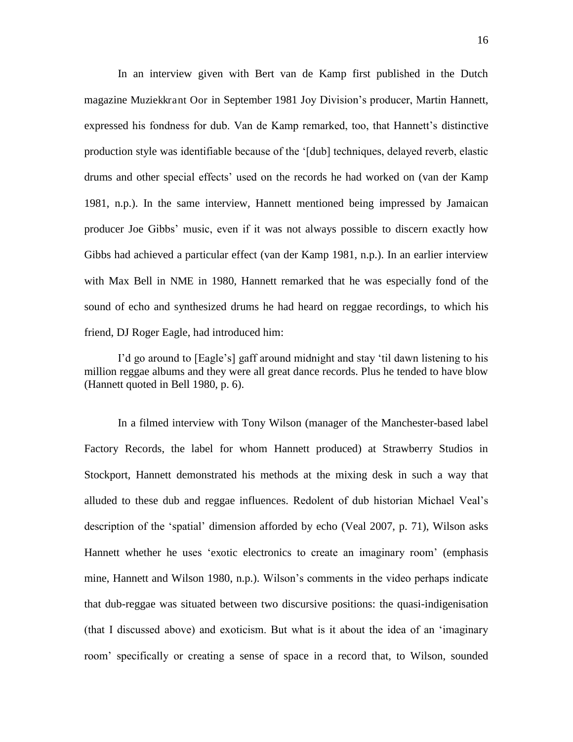In an interview given with Bert van de Kamp first published in the Dutch magazine Muziekkrant Oor in September 1981 Joy Division's producer, Martin Hannett, expressed his fondness for dub. Van de Kamp remarked, too, that Hannett's distinctive production style was identifiable because of the '[dub] techniques, delayed reverb, elastic drums and other special effects' used on the records he had worked on (van der Kamp 1981, n.p.). In the same interview, Hannett mentioned being impressed by Jamaican producer Joe Gibbs' music, even if it was not always possible to discern exactly how Gibbs had achieved a particular effect (van der Kamp 1981, n.p.). In an earlier interview with Max Bell in NME in 1980, Hannett remarked that he was especially fond of the sound of echo and synthesized drums he had heard on reggae recordings, to which his friend, DJ Roger Eagle, had introduced him:

I'd go around to [Eagle's] gaff around midnight and stay 'til dawn listening to his million reggae albums and they were all great dance records. Plus he tended to have blow (Hannett quoted in Bell 1980, p. 6).

In a filmed interview with Tony Wilson (manager of the Manchester-based label Factory Records, the label for whom Hannett produced) at Strawberry Studios in Stockport, Hannett demonstrated his methods at the mixing desk in such a way that alluded to these dub and reggae influences. Redolent of dub historian Michael Veal's description of the 'spatial' dimension afforded by echo (Veal 2007, p. 71), Wilson asks Hannett whether he uses 'exotic electronics to create an imaginary room' (emphasis mine, Hannett and Wilson 1980, n.p.). Wilson's comments in the video perhaps indicate that dub-reggae was situated between two discursive positions: the quasi-indigenisation (that I discussed above) and exoticism. But what is it about the idea of an 'imaginary room' specifically or creating a sense of space in a record that, to Wilson, sounded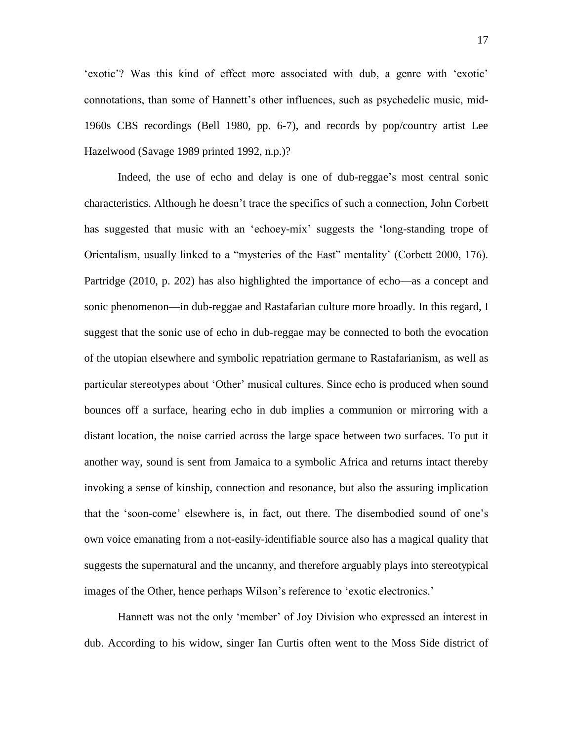'exotic'? Was this kind of effect more associated with dub, a genre with 'exotic' connotations, than some of Hannett's other influences, such as psychedelic music, mid-1960s CBS recordings (Bell 1980, pp. 6-7), and records by pop/country artist Lee Hazelwood (Savage 1989 printed 1992, n.p.)?

Indeed, the use of echo and delay is one of dub-reggae's most central sonic characteristics. Although he doesn't trace the specifics of such a connection, John Corbett has suggested that music with an 'echoey-mix' suggests the 'long-standing trope of Orientalism, usually linked to a "mysteries of the East" mentality' (Corbett 2000, 176). Partridge (2010, p. 202) has also highlighted the importance of echo—as a concept and sonic phenomenon—in dub-reggae and Rastafarian culture more broadly. In this regard, I suggest that the sonic use of echo in dub-reggae may be connected to both the evocation of the utopian elsewhere and symbolic repatriation germane to Rastafarianism, as well as particular stereotypes about 'Other' musical cultures. Since echo is produced when sound bounces off a surface, hearing echo in dub implies a communion or mirroring with a distant location, the noise carried across the large space between two surfaces. To put it another way, sound is sent from Jamaica to a symbolic Africa and returns intact thereby invoking a sense of kinship, connection and resonance, but also the assuring implication that the 'soon-come' elsewhere is, in fact, out there. The disembodied sound of one's own voice emanating from a not-easily-identifiable source also has a magical quality that suggests the supernatural and the uncanny, and therefore arguably plays into stereotypical images of the Other, hence perhaps Wilson's reference to 'exotic electronics.'

Hannett was not the only 'member' of Joy Division who expressed an interest in dub. According to his widow, singer Ian Curtis often went to the Moss Side district of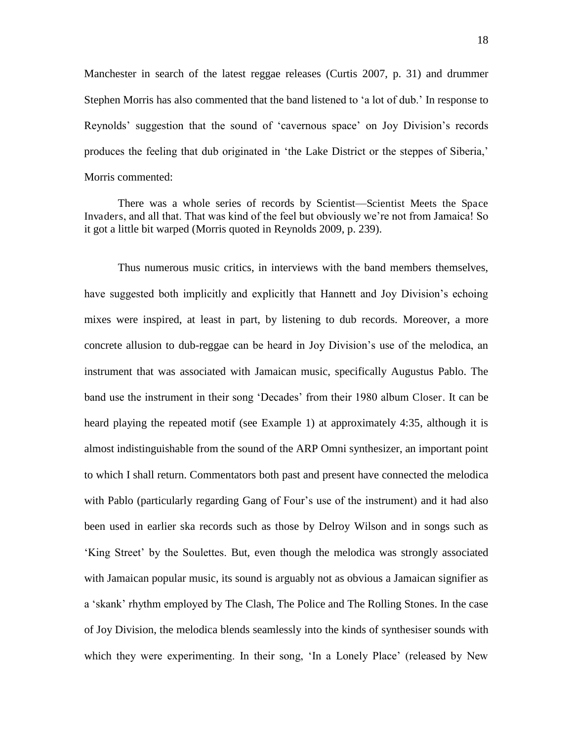Manchester in search of the latest reggae releases (Curtis 2007, p. 31) and drummer Stephen Morris has also commented that the band listened to 'a lot of dub.' In response to Reynolds' suggestion that the sound of 'cavernous space' on Joy Division's records produces the feeling that dub originated in 'the Lake District or the steppes of Siberia,' Morris commented:

There was a whole series of records by Scientist—Scientist Meets the Space Invaders, and all that. That was kind of the feel but obviously we're not from Jamaica! So it got a little bit warped (Morris quoted in Reynolds 2009, p. 239).

Thus numerous music critics, in interviews with the band members themselves, have suggested both implicitly and explicitly that Hannett and Joy Division's echoing mixes were inspired, at least in part, by listening to dub records. Moreover, a more concrete allusion to dub-reggae can be heard in Joy Division's use of the melodica, an instrument that was associated with Jamaican music, specifically Augustus Pablo. The band use the instrument in their song 'Decades' from their 1980 album Closer. It can be heard playing the repeated motif (see Example 1) at approximately 4:35, although it is almost indistinguishable from the sound of the ARP Omni synthesizer, an important point to which I shall return. Commentators both past and present have connected the melodica with Pablo (particularly regarding Gang of Four's use of the instrument) and it had also been used in earlier ska records such as those by Delroy Wilson and in songs such as 'King Street' by the Soulettes. But, even though the melodica was strongly associated with Jamaican popular music, its sound is arguably not as obvious a Jamaican signifier as a 'skank' rhythm employed by The Clash, The Police and The Rolling Stones. In the case of Joy Division, the melodica blends seamlessly into the kinds of synthesiser sounds with which they were experimenting. In their song, 'In a Lonely Place' (released by New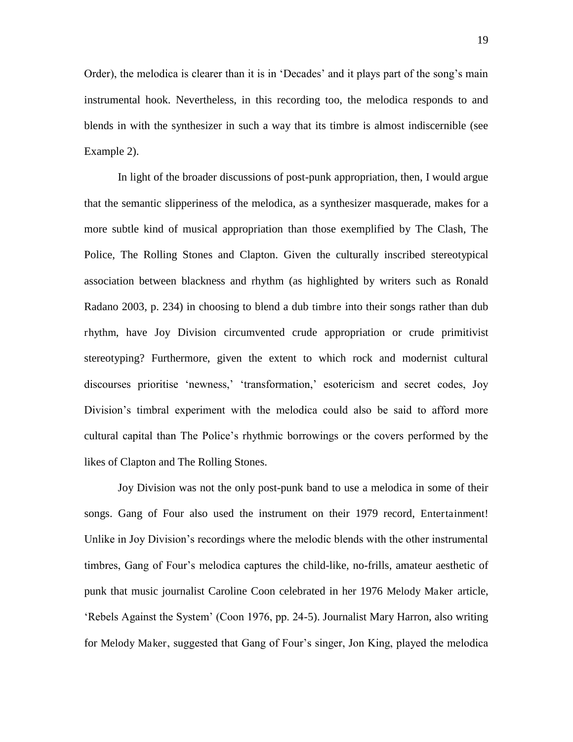Order), the melodica is clearer than it is in 'Decades' and it plays part of the song's main instrumental hook. Nevertheless, in this recording too, the melodica responds to and blends in with the synthesizer in such a way that its timbre is almost indiscernible (see Example 2).

In light of the broader discussions of post-punk appropriation, then, I would argue that the semantic slipperiness of the melodica, as a synthesizer masquerade, makes for a more subtle kind of musical appropriation than those exemplified by The Clash, The Police, The Rolling Stones and Clapton. Given the culturally inscribed stereotypical association between blackness and rhythm (as highlighted by writers such as Ronald Radano 2003, p. 234) in choosing to blend a dub timbre into their songs rather than dub rhythm, have Joy Division circumvented crude appropriation or crude primitivist stereotyping? Furthermore, given the extent to which rock and modernist cultural discourses prioritise 'newness,' 'transformation,' esotericism and secret codes, Joy Division's timbral experiment with the melodica could also be said to afford more cultural capital than The Police's rhythmic borrowings or the covers performed by the likes of Clapton and The Rolling Stones.

Joy Division was not the only post-punk band to use a melodica in some of their songs. Gang of Four also used the instrument on their 1979 record, Entertainment! Unlike in Joy Division's recordings where the melodic blends with the other instrumental timbres, Gang of Four's melodica captures the child-like, no-frills, amateur aesthetic of punk that music journalist Caroline Coon celebrated in her 1976 Melody Maker article, 'Rebels Against the System' (Coon 1976, pp. 24-5). Journalist Mary Harron, also writing for Melody Maker, suggested that Gang of Four's singer, Jon King, played the melodica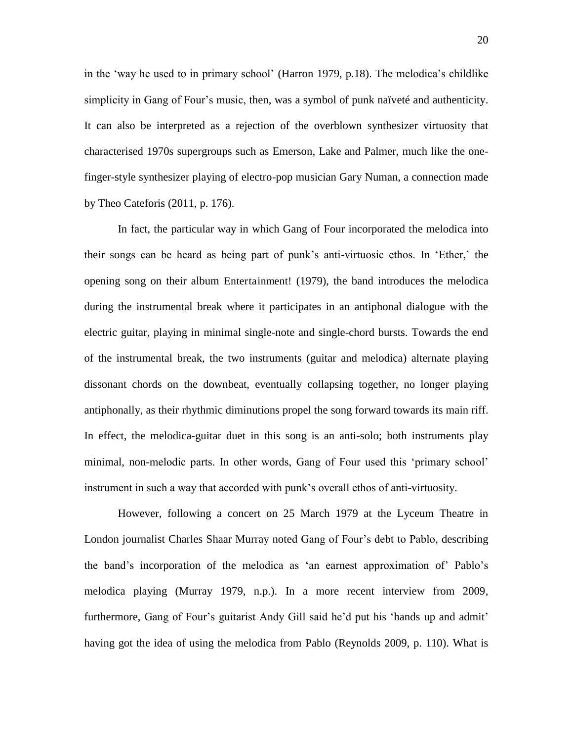in the 'way he used to in primary school' (Harron 1979, p.18). The melodica's childlike simplicity in Gang of Four's music, then, was a symbol of punk naïveté and authenticity. It can also be interpreted as a rejection of the overblown synthesizer virtuosity that characterised 1970s supergroups such as Emerson, Lake and Palmer, much like the onefinger-style synthesizer playing of electro-pop musician Gary Numan, a connection made by Theo Cateforis (2011, p. 176).

In fact, the particular way in which Gang of Four incorporated the melodica into their songs can be heard as being part of punk's anti-virtuosic ethos. In 'Ether,' the opening song on their album Entertainment! (1979), the band introduces the melodica during the instrumental break where it participates in an antiphonal dialogue with the electric guitar, playing in minimal single-note and single-chord bursts. Towards the end of the instrumental break, the two instruments (guitar and melodica) alternate playing dissonant chords on the downbeat, eventually collapsing together, no longer playing antiphonally, as their rhythmic diminutions propel the song forward towards its main riff. In effect, the melodica-guitar duet in this song is an anti-solo; both instruments play minimal, non-melodic parts. In other words, Gang of Four used this 'primary school' instrument in such a way that accorded with punk's overall ethos of anti-virtuosity.

However, following a concert on 25 March 1979 at the Lyceum Theatre in London journalist Charles Shaar Murray noted Gang of Four's debt to Pablo, describing the band's incorporation of the melodica as 'an earnest approximation of' Pablo's melodica playing (Murray 1979, n.p.). In a more recent interview from 2009, furthermore, Gang of Four's guitarist Andy Gill said he'd put his 'hands up and admit' having got the idea of using the melodica from Pablo (Reynolds 2009, p. 110). What is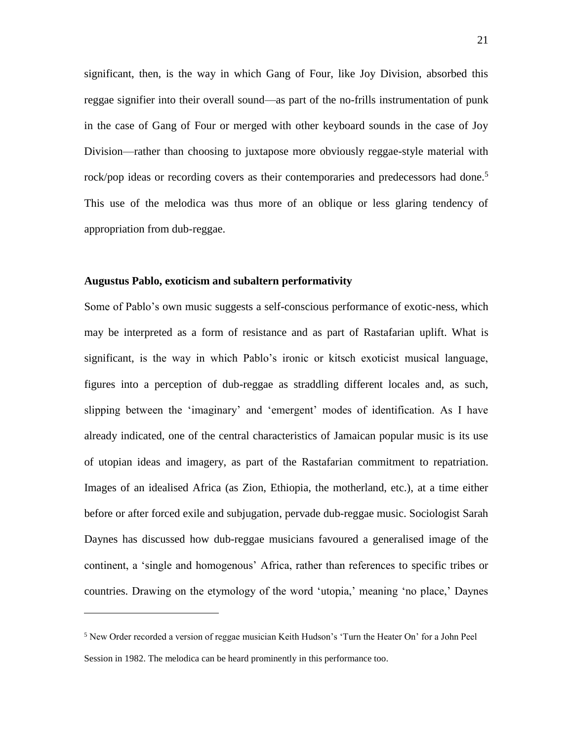significant, then, is the way in which Gang of Four, like Joy Division, absorbed this reggae signifier into their overall sound—as part of the no-frills instrumentation of punk in the case of Gang of Four or merged with other keyboard sounds in the case of Joy Division—rather than choosing to juxtapose more obviously reggae-style material with rock/pop ideas or recording covers as their contemporaries and predecessors had done.<sup>5</sup> This use of the melodica was thus more of an oblique or less glaring tendency of appropriation from dub-reggae.

#### **Augustus Pablo, exoticism and subaltern performativity**

 $\overline{a}$ 

Some of Pablo's own music suggests a self-conscious performance of exotic-ness, which may be interpreted as a form of resistance and as part of Rastafarian uplift. What is significant, is the way in which Pablo's ironic or kitsch exoticist musical language, figures into a perception of dub-reggae as straddling different locales and, as such, slipping between the 'imaginary' and 'emergent' modes of identification. As I have already indicated, one of the central characteristics of Jamaican popular music is its use of utopian ideas and imagery, as part of the Rastafarian commitment to repatriation. Images of an idealised Africa (as Zion, Ethiopia, the motherland, etc.), at a time either before or after forced exile and subjugation, pervade dub-reggae music. Sociologist Sarah Daynes has discussed how dub-reggae musicians favoured a generalised image of the continent, a 'single and homogenous' Africa, rather than references to specific tribes or countries. Drawing on the etymology of the word 'utopia,' meaning 'no place,' Daynes

<sup>5</sup> New Order recorded a version of reggae musician Keith Hudson's 'Turn the Heater On' for a John Peel Session in 1982. The melodica can be heard prominently in this performance too.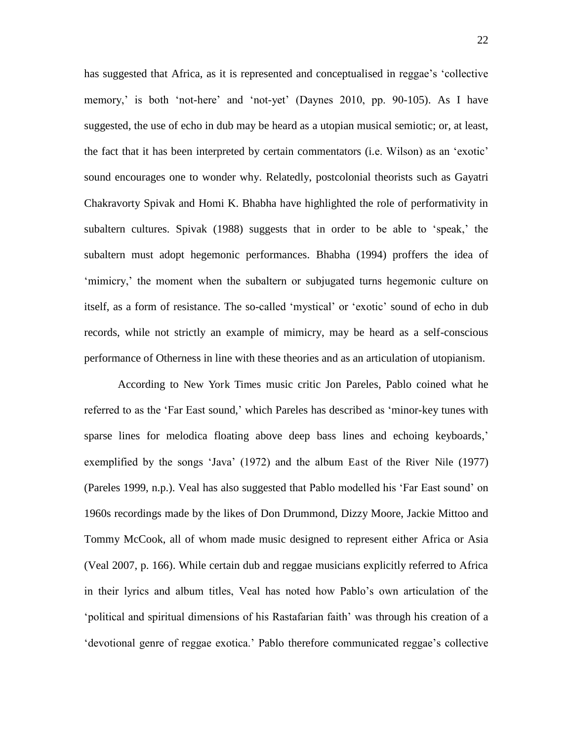has suggested that Africa, as it is represented and conceptualised in reggae's 'collective memory,' is both 'not-here' and 'not-yet' (Daynes 2010, pp. 90-105). As I have suggested, the use of echo in dub may be heard as a utopian musical semiotic; or, at least, the fact that it has been interpreted by certain commentators (i.e. Wilson) as an 'exotic' sound encourages one to wonder why. Relatedly, postcolonial theorists such as Gayatri Chakravorty Spivak and Homi K. Bhabha have highlighted the role of performativity in subaltern cultures. Spivak (1988) suggests that in order to be able to 'speak,' the subaltern must adopt hegemonic performances. Bhabha (1994) proffers the idea of 'mimicry,' the moment when the subaltern or subjugated turns hegemonic culture on itself, as a form of resistance. The so-called 'mystical' or 'exotic' sound of echo in dub records, while not strictly an example of mimicry, may be heard as a self-conscious performance of Otherness in line with these theories and as an articulation of utopianism.

According to New York Times music critic Jon Pareles, Pablo coined what he referred to as the 'Far East sound,' which Pareles has described as 'minor-key tunes with sparse lines for melodica floating above deep bass lines and echoing keyboards,' exemplified by the songs 'Java' (1972) and the album East of the River Nile (1977) (Pareles 1999, n.p.). Veal has also suggested that Pablo modelled his 'Far East sound' on 1960s recordings made by the likes of Don Drummond, Dizzy Moore, Jackie Mittoo and Tommy McCook, all of whom made music designed to represent either Africa or Asia (Veal 2007, p. 166). While certain dub and reggae musicians explicitly referred to Africa in their lyrics and album titles, Veal has noted how Pablo's own articulation of the 'political and spiritual dimensions of his Rastafarian faith' was through his creation of a 'devotional genre of reggae exotica.' Pablo therefore communicated reggae's collective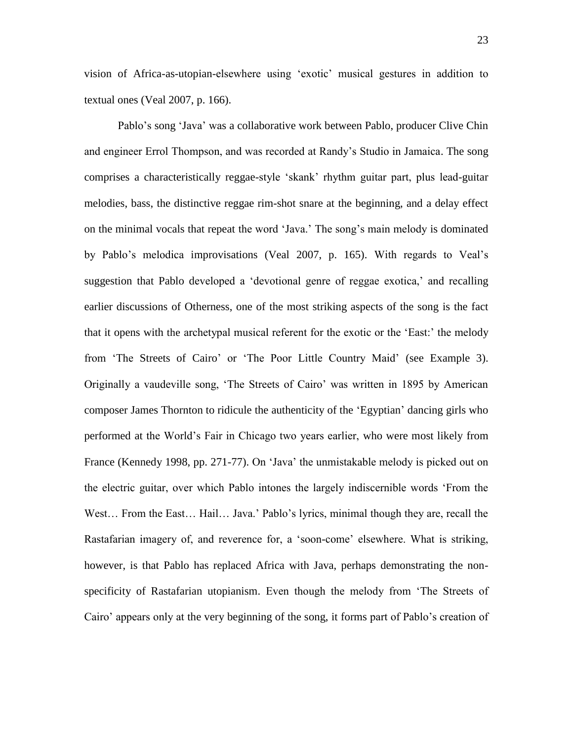vision of Africa-as-utopian-elsewhere using 'exotic' musical gestures in addition to textual ones (Veal 2007, p. 166).

Pablo's song 'Java' was a collaborative work between Pablo, producer Clive Chin and engineer Errol Thompson, and was recorded at Randy's Studio in Jamaica. The song comprises a characteristically reggae-style 'skank' rhythm guitar part, plus lead-guitar melodies, bass, the distinctive reggae rim-shot snare at the beginning, and a delay effect on the minimal vocals that repeat the word 'Java.' The song's main melody is dominated by Pablo's melodica improvisations (Veal 2007, p. 165). With regards to Veal's suggestion that Pablo developed a 'devotional genre of reggae exotica,' and recalling earlier discussions of Otherness, one of the most striking aspects of the song is the fact that it opens with the archetypal musical referent for the exotic or the 'East:' the melody from 'The Streets of Cairo' or 'The Poor Little Country Maid' (see Example 3). Originally a vaudeville song, 'The Streets of Cairo' was written in 1895 by American composer James Thornton to ridicule the authenticity of the 'Egyptian' dancing girls who performed at the World's Fair in Chicago two years earlier, who were most likely from France (Kennedy 1998, pp. 271-77). On 'Java' the unmistakable melody is picked out on the electric guitar, over which Pablo intones the largely indiscernible words 'From the West… From the East… Hail… Java.' Pablo's lyrics, minimal though they are, recall the Rastafarian imagery of, and reverence for, a 'soon-come' elsewhere. What is striking, however, is that Pablo has replaced Africa with Java, perhaps demonstrating the nonspecificity of Rastafarian utopianism. Even though the melody from 'The Streets of Cairo' appears only at the very beginning of the song, it forms part of Pablo's creation of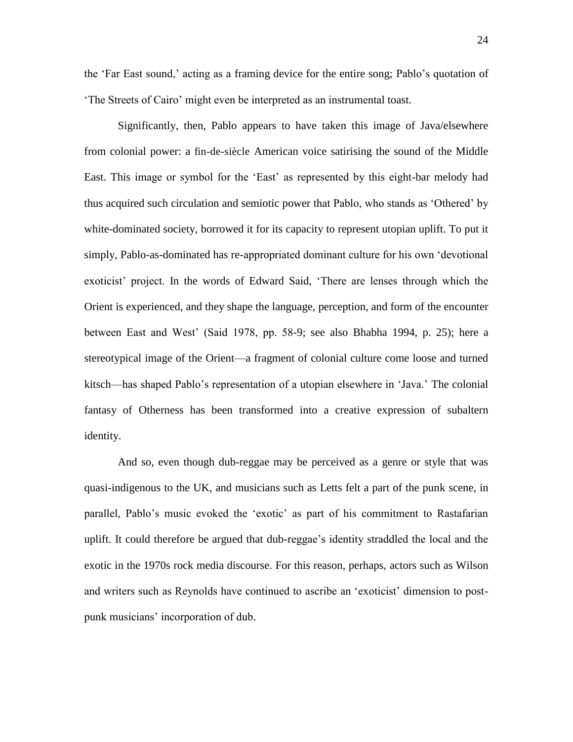the 'Far East sound,' acting as a framing device for the entire song; Pablo's quotation of 'The Streets of Cairo' might even be interpreted as an instrumental toast.

Significantly, then, Pablo appears to have taken this image of Java/elsewhere from colonial power: a fin-de-siècle American voice satirising the sound of the Middle East. This image or symbol for the 'East' as represented by this eight-bar melody had thus acquired such circulation and semiotic power that Pablo, who stands as 'Othered' by white-dominated society, borrowed it for its capacity to represent utopian uplift. To put it simply, Pablo-as-dominated has re-appropriated dominant culture for his own 'devotional exoticist' project. In the words of Edward Said, 'There are lenses through which the Orient is experienced, and they shape the language, perception, and form of the encounter between East and West' (Said 1978, pp. 58-9; see also Bhabha 1994, p. 25); here a stereotypical image of the Orient—a fragment of colonial culture come loose and turned kitsch—has shaped Pablo's representation of a utopian elsewhere in 'Java.' The colonial fantasy of Otherness has been transformed into a creative expression of subaltern identity.

And so, even though dub-reggae may be perceived as a genre or style that was quasi-indigenous to the UK, and musicians such as Letts felt a part of the punk scene, in parallel, Pablo's music evoked the 'exotic' as part of his commitment to Rastafarian uplift. It could therefore be argued that dub-reggae's identity straddled the local and the exotic in the 1970s rock media discourse. For this reason, perhaps, actors such as Wilson and writers such as Reynolds have continued to ascribe an 'exoticist' dimension to postpunk musicians' incorporation of dub.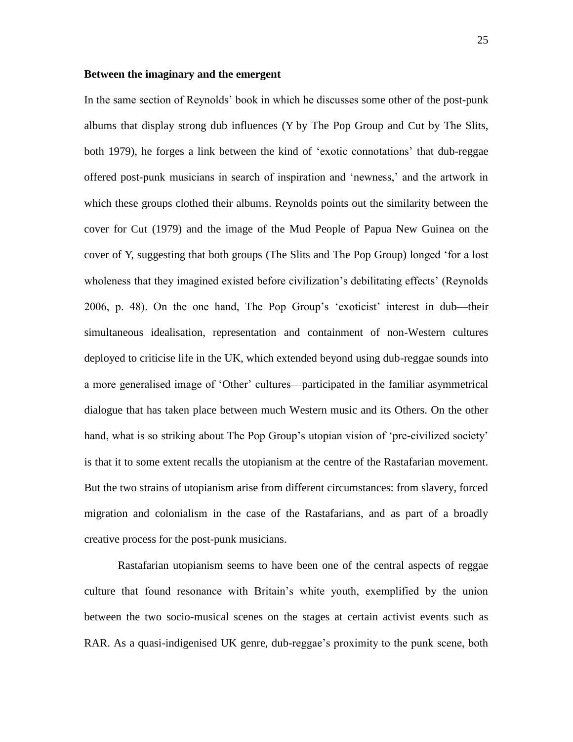#### **Between the imaginary and the emergent**

In the same section of Reynolds' book in which he discusses some other of the post-punk albums that display strong dub influences (Y by The Pop Group and Cut by The Slits, both 1979), he forges a link between the kind of 'exotic connotations' that dub-reggae offered post-punk musicians in search of inspiration and 'newness,' and the artwork in which these groups clothed their albums. Reynolds points out the similarity between the cover for Cut (1979) and the image of the Mud People of Papua New Guinea on the cover of Y, suggesting that both groups (The Slits and The Pop Group) longed 'for a lost wholeness that they imagined existed before civilization's debilitating effects' (Reynolds 2006, p. 48). On the one hand, The Pop Group's 'exoticist' interest in dub—their simultaneous idealisation, representation and containment of non-Western cultures deployed to criticise life in the UK, which extended beyond using dub-reggae sounds into a more generalised image of 'Other' cultures—participated in the familiar asymmetrical dialogue that has taken place between much Western music and its Others. On the other hand, what is so striking about The Pop Group's utopian vision of 'pre-civilized society' is that it to some extent recalls the utopianism at the centre of the Rastafarian movement. But the two strains of utopianism arise from different circumstances: from slavery, forced migration and colonialism in the case of the Rastafarians, and as part of a broadly creative process for the post-punk musicians.

Rastafarian utopianism seems to have been one of the central aspects of reggae culture that found resonance with Britain's white youth, exemplified by the union between the two socio-musical scenes on the stages at certain activist events such as RAR. As a quasi-indigenised UK genre, dub-reggae's proximity to the punk scene, both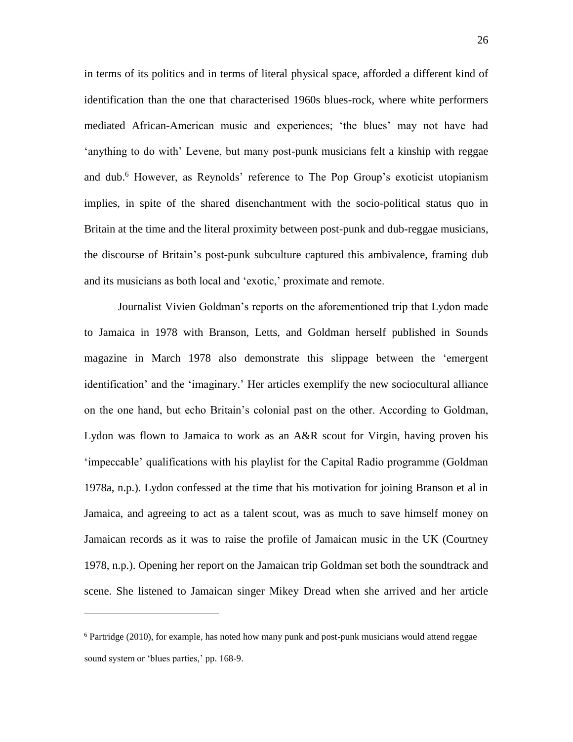in terms of its politics and in terms of literal physical space, afforded a different kind of identification than the one that characterised 1960s blues-rock, where white performers mediated African-American music and experiences; 'the blues' may not have had 'anything to do with' Levene, but many post-punk musicians felt a kinship with reggae and dub.<sup>6</sup> However, as Reynolds' reference to The Pop Group's exoticist utopianism implies, in spite of the shared disenchantment with the socio-political status quo in Britain at the time and the literal proximity between post-punk and dub-reggae musicians, the discourse of Britain's post-punk subculture captured this ambivalence, framing dub and its musicians as both local and 'exotic,' proximate and remote.

Journalist Vivien Goldman's reports on the aforementioned trip that Lydon made to Jamaica in 1978 with Branson, Letts, and Goldman herself published in Sounds magazine in March 1978 also demonstrate this slippage between the 'emergent identification' and the 'imaginary.' Her articles exemplify the new sociocultural alliance on the one hand, but echo Britain's colonial past on the other. According to Goldman, Lydon was flown to Jamaica to work as an A&R scout for Virgin, having proven his 'impeccable' qualifications with his playlist for the Capital Radio programme (Goldman 1978a, n.p.). Lydon confessed at the time that his motivation for joining Branson et al in Jamaica, and agreeing to act as a talent scout, was as much to save himself money on Jamaican records as it was to raise the profile of Jamaican music in the UK (Courtney 1978, n.p.). Opening her report on the Jamaican trip Goldman set both the soundtrack and scene. She listened to Jamaican singer Mikey Dread when she arrived and her article

 $\overline{a}$ 

<sup>&</sup>lt;sup>6</sup> Partridge (2010), for example, has noted how many punk and post-punk musicians would attend reggae sound system or 'blues parties,' pp. 168-9.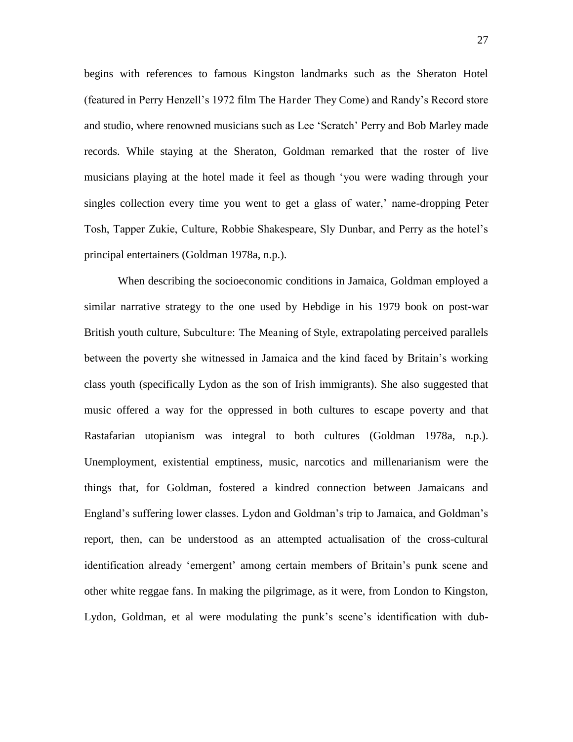begins with references to famous Kingston landmarks such as the Sheraton Hotel (featured in Perry Henzell's 1972 film The Harder They Come) and Randy's Record store and studio, where renowned musicians such as Lee 'Scratch' Perry and Bob Marley made records. While staying at the Sheraton, Goldman remarked that the roster of live musicians playing at the hotel made it feel as though 'you were wading through your singles collection every time you went to get a glass of water,' name-dropping Peter Tosh, Tapper Zukie, Culture, Robbie Shakespeare, Sly Dunbar, and Perry as the hotel's principal entertainers (Goldman 1978a, n.p.).

When describing the socioeconomic conditions in Jamaica, Goldman employed a similar narrative strategy to the one used by Hebdige in his 1979 book on post-war British youth culture, Subculture: The Meaning of Style, extrapolating perceived parallels between the poverty she witnessed in Jamaica and the kind faced by Britain's working class youth (specifically Lydon as the son of Irish immigrants). She also suggested that music offered a way for the oppressed in both cultures to escape poverty and that Rastafarian utopianism was integral to both cultures (Goldman 1978a, n.p.). Unemployment, existential emptiness, music, narcotics and millenarianism were the things that, for Goldman, fostered a kindred connection between Jamaicans and England's suffering lower classes. Lydon and Goldman's trip to Jamaica, and Goldman's report, then, can be understood as an attempted actualisation of the cross-cultural identification already 'emergent' among certain members of Britain's punk scene and other white reggae fans. In making the pilgrimage, as it were, from London to Kingston, Lydon, Goldman, et al were modulating the punk's scene's identification with dub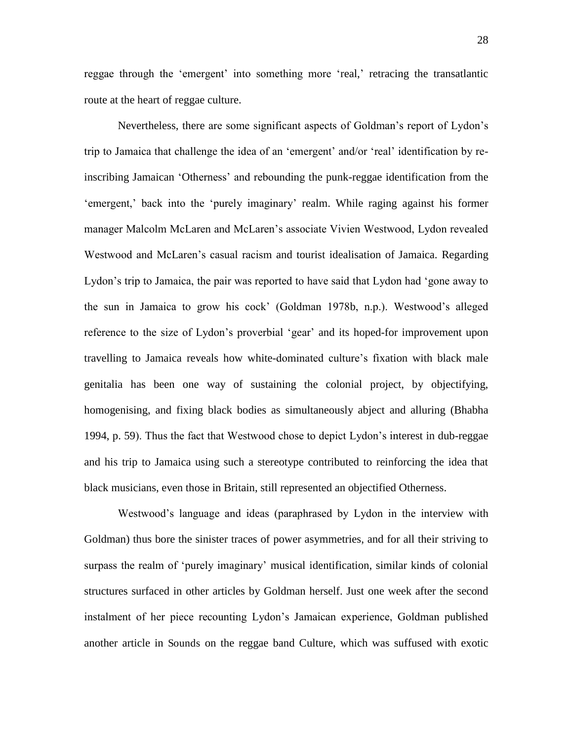reggae through the 'emergent' into something more 'real,' retracing the transatlantic route at the heart of reggae culture.

Nevertheless, there are some significant aspects of Goldman's report of Lydon's trip to Jamaica that challenge the idea of an 'emergent' and/or 'real' identification by reinscribing Jamaican 'Otherness' and rebounding the punk-reggae identification from the 'emergent,' back into the 'purely imaginary' realm. While raging against his former manager Malcolm McLaren and McLaren's associate Vivien Westwood, Lydon revealed Westwood and McLaren's casual racism and tourist idealisation of Jamaica. Regarding Lydon's trip to Jamaica, the pair was reported to have said that Lydon had 'gone away to the sun in Jamaica to grow his cock' (Goldman 1978b, n.p.). Westwood's alleged reference to the size of Lydon's proverbial 'gear' and its hoped-for improvement upon travelling to Jamaica reveals how white-dominated culture's fixation with black male genitalia has been one way of sustaining the colonial project, by objectifying, homogenising, and fixing black bodies as simultaneously abject and alluring (Bhabha 1994, p. 59). Thus the fact that Westwood chose to depict Lydon's interest in dub-reggae and his trip to Jamaica using such a stereotype contributed to reinforcing the idea that black musicians, even those in Britain, still represented an objectified Otherness.

Westwood's language and ideas (paraphrased by Lydon in the interview with Goldman) thus bore the sinister traces of power asymmetries, and for all their striving to surpass the realm of 'purely imaginary' musical identification, similar kinds of colonial structures surfaced in other articles by Goldman herself. Just one week after the second instalment of her piece recounting Lydon's Jamaican experience, Goldman published another article in Sounds on the reggae band Culture, which was suffused with exotic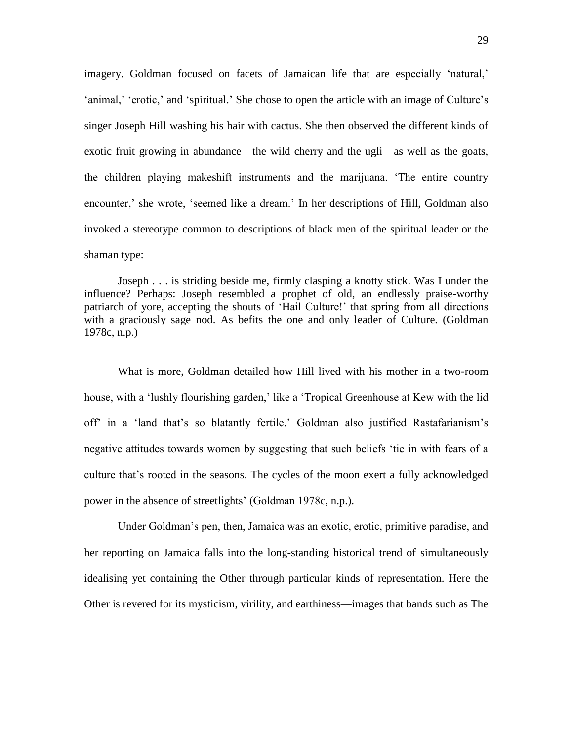imagery. Goldman focused on facets of Jamaican life that are especially 'natural,' 'animal,' 'erotic,' and 'spiritual.' She chose to open the article with an image of Culture's singer Joseph Hill washing his hair with cactus. She then observed the different kinds of exotic fruit growing in abundance—the wild cherry and the ugli—as well as the goats, the children playing makeshift instruments and the marijuana. 'The entire country encounter,' she wrote, 'seemed like a dream.' In her descriptions of Hill, Goldman also invoked a stereotype common to descriptions of black men of the spiritual leader or the shaman type:

Joseph . . . is striding beside me, firmly clasping a knotty stick. Was I under the influence? Perhaps: Joseph resembled a prophet of old, an endlessly praise-worthy patriarch of yore, accepting the shouts of 'Hail Culture!' that spring from all directions with a graciously sage nod. As befits the one and only leader of Culture. (Goldman 1978c, n.p.)

 What is more, Goldman detailed how Hill lived with his mother in a two-room house, with a 'lushly flourishing garden,' like a 'Tropical Greenhouse at Kew with the lid off' in a 'land that's so blatantly fertile.' Goldman also justified Rastafarianism's negative attitudes towards women by suggesting that such beliefs 'tie in with fears of a culture that's rooted in the seasons. The cycles of the moon exert a fully acknowledged power in the absence of streetlights' (Goldman 1978c, n.p.).

Under Goldman's pen, then, Jamaica was an exotic, erotic, primitive paradise, and her reporting on Jamaica falls into the long-standing historical trend of simultaneously idealising yet containing the Other through particular kinds of representation. Here the Other is revered for its mysticism, virility, and earthiness—images that bands such as The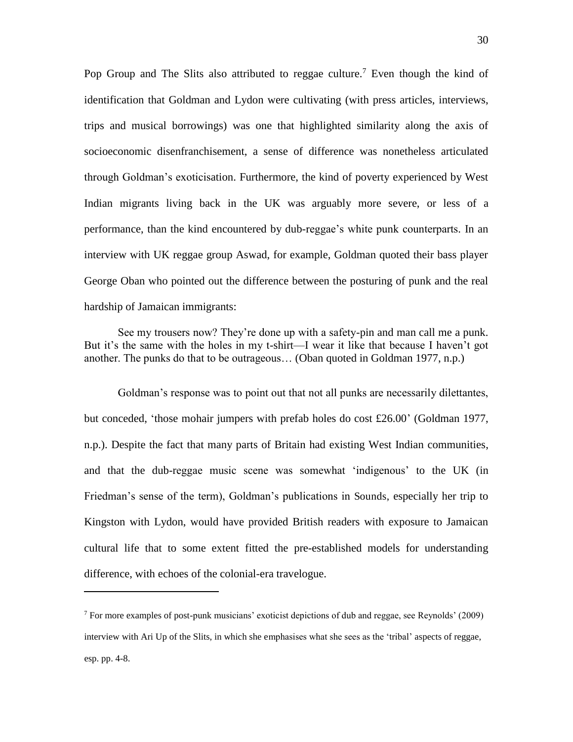Pop Group and The Slits also attributed to reggae culture.<sup>7</sup> Even though the kind of identification that Goldman and Lydon were cultivating (with press articles, interviews, trips and musical borrowings) was one that highlighted similarity along the axis of socioeconomic disenfranchisement, a sense of difference was nonetheless articulated through Goldman's exoticisation. Furthermore, the kind of poverty experienced by West Indian migrants living back in the UK was arguably more severe, or less of a performance, than the kind encountered by dub-reggae's white punk counterparts. In an interview with UK reggae group Aswad, for example, Goldman quoted their bass player George Oban who pointed out the difference between the posturing of punk and the real hardship of Jamaican immigrants:

See my trousers now? They're done up with a safety-pin and man call me a punk. But it's the same with the holes in my t-shirt—I wear it like that because I haven't got another. The punks do that to be outrageous… (Oban quoted in Goldman 1977, n.p.)

Goldman's response was to point out that not all punks are necessarily dilettantes, but conceded, 'those mohair jumpers with prefab holes do cost £26.00' (Goldman 1977, n.p.). Despite the fact that many parts of Britain had existing West Indian communities, and that the dub-reggae music scene was somewhat 'indigenous' to the UK (in Friedman's sense of the term), Goldman's publications in Sounds, especially her trip to Kingston with Lydon, would have provided British readers with exposure to Jamaican cultural life that to some extent fitted the pre-established models for understanding difference, with echoes of the colonial-era travelogue.

 $\overline{a}$ 

<sup>&</sup>lt;sup>7</sup> For more examples of post-punk musicians' exoticist depictions of dub and reggae, see Reynolds' (2009) interview with Ari Up of the Slits, in which she emphasises what she sees as the 'tribal' aspects of reggae, esp. pp. 4-8.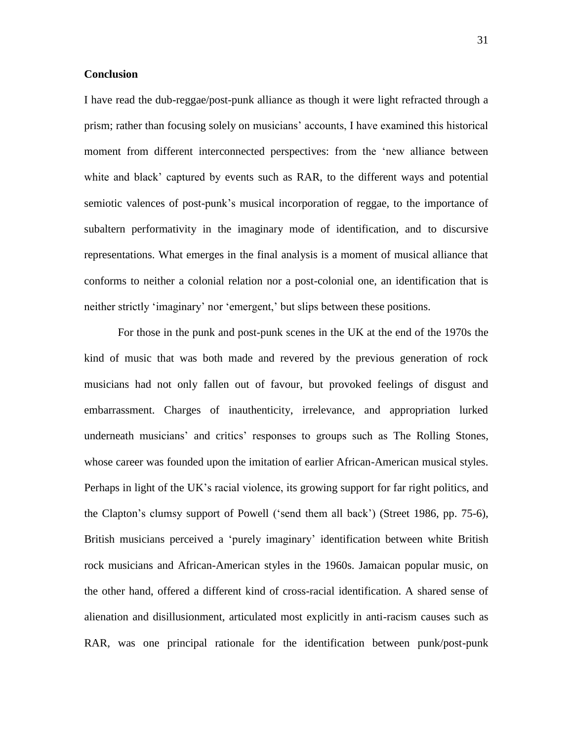#### **Conclusion**

I have read the dub-reggae/post-punk alliance as though it were light refracted through a prism; rather than focusing solely on musicians' accounts, I have examined this historical moment from different interconnected perspectives: from the 'new alliance between white and black' captured by events such as RAR, to the different ways and potential semiotic valences of post-punk's musical incorporation of reggae, to the importance of subaltern performativity in the imaginary mode of identification, and to discursive representations. What emerges in the final analysis is a moment of musical alliance that conforms to neither a colonial relation nor a post-colonial one, an identification that is neither strictly 'imaginary' nor 'emergent,' but slips between these positions.

For those in the punk and post-punk scenes in the UK at the end of the 1970s the kind of music that was both made and revered by the previous generation of rock musicians had not only fallen out of favour, but provoked feelings of disgust and embarrassment. Charges of inauthenticity, irrelevance, and appropriation lurked underneath musicians' and critics' responses to groups such as The Rolling Stones, whose career was founded upon the imitation of earlier African-American musical styles. Perhaps in light of the UK's racial violence, its growing support for far right politics, and the Clapton's clumsy support of Powell ('send them all back') (Street 1986, pp. 75-6), British musicians perceived a 'purely imaginary' identification between white British rock musicians and African-American styles in the 1960s. Jamaican popular music, on the other hand, offered a different kind of cross-racial identification. A shared sense of alienation and disillusionment, articulated most explicitly in anti-racism causes such as RAR, was one principal rationale for the identification between punk/post-punk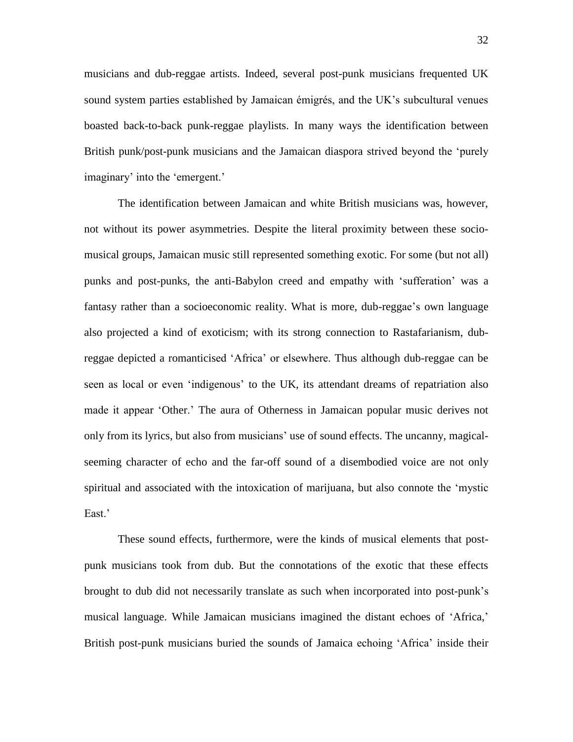musicians and dub-reggae artists. Indeed, several post-punk musicians frequented UK sound system parties established by Jamaican émigrés, and the UK's subcultural venues boasted back-to-back punk-reggae playlists. In many ways the identification between British punk/post-punk musicians and the Jamaican diaspora strived beyond the 'purely imaginary' into the 'emergent.'

The identification between Jamaican and white British musicians was, however, not without its power asymmetries. Despite the literal proximity between these sociomusical groups, Jamaican music still represented something exotic. For some (but not all) punks and post-punks, the anti-Babylon creed and empathy with 'sufferation' was a fantasy rather than a socioeconomic reality. What is more, dub-reggae's own language also projected a kind of exoticism; with its strong connection to Rastafarianism, dubreggae depicted a romanticised 'Africa' or elsewhere. Thus although dub-reggae can be seen as local or even 'indigenous' to the UK, its attendant dreams of repatriation also made it appear 'Other.' The aura of Otherness in Jamaican popular music derives not only from its lyrics, but also from musicians' use of sound effects. The uncanny, magicalseeming character of echo and the far-off sound of a disembodied voice are not only spiritual and associated with the intoxication of marijuana, but also connote the 'mystic East<sup>'</sup>

These sound effects, furthermore, were the kinds of musical elements that postpunk musicians took from dub. But the connotations of the exotic that these effects brought to dub did not necessarily translate as such when incorporated into post-punk's musical language. While Jamaican musicians imagined the distant echoes of 'Africa,' British post-punk musicians buried the sounds of Jamaica echoing 'Africa' inside their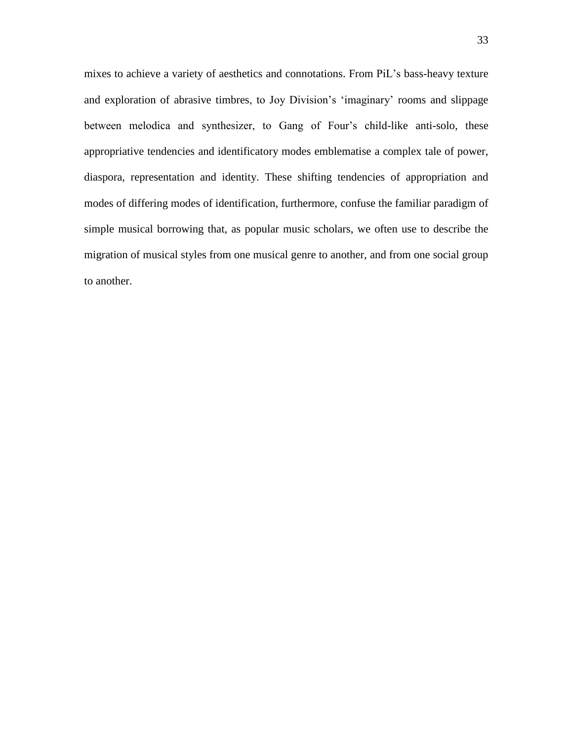mixes to achieve a variety of aesthetics and connotations. From PiL's bass-heavy texture and exploration of abrasive timbres, to Joy Division's 'imaginary' rooms and slippage between melodica and synthesizer, to Gang of Four's child-like anti-solo, these appropriative tendencies and identificatory modes emblematise a complex tale of power, diaspora, representation and identity. These shifting tendencies of appropriation and modes of differing modes of identification, furthermore, confuse the familiar paradigm of simple musical borrowing that, as popular music scholars, we often use to describe the migration of musical styles from one musical genre to another, and from one social group to another.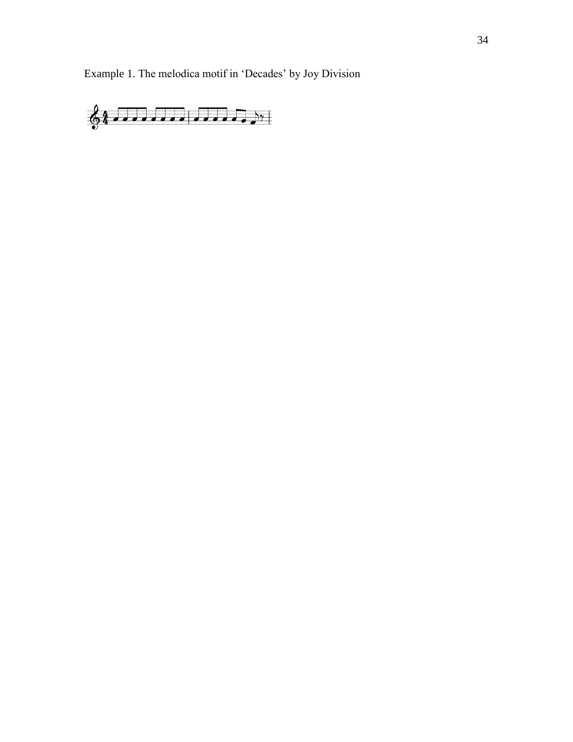Example 1. The melodica motif in 'Decades' by Joy Division

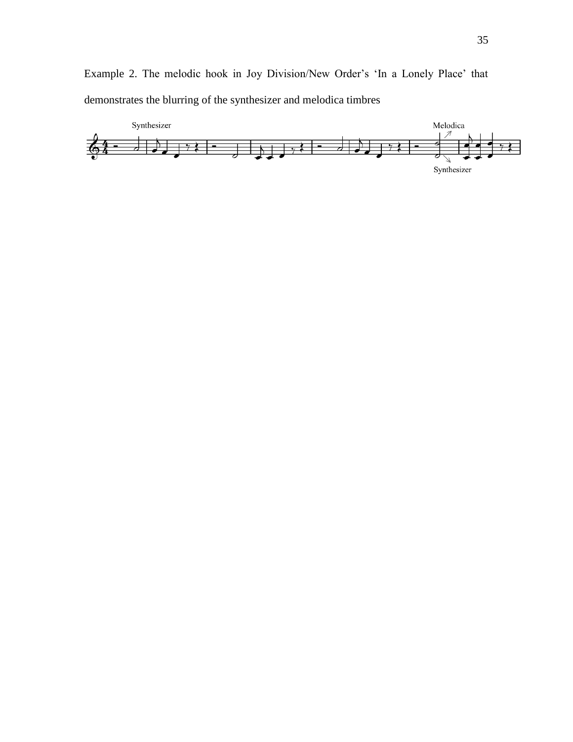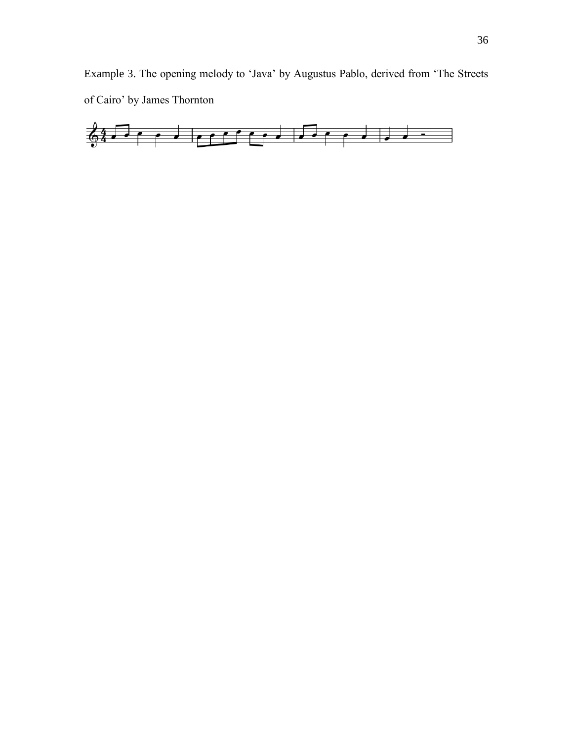Example 3. The opening melody to 'Java' by Augustus Pablo, derived from 'The Streets of Cairo' by James Thornton

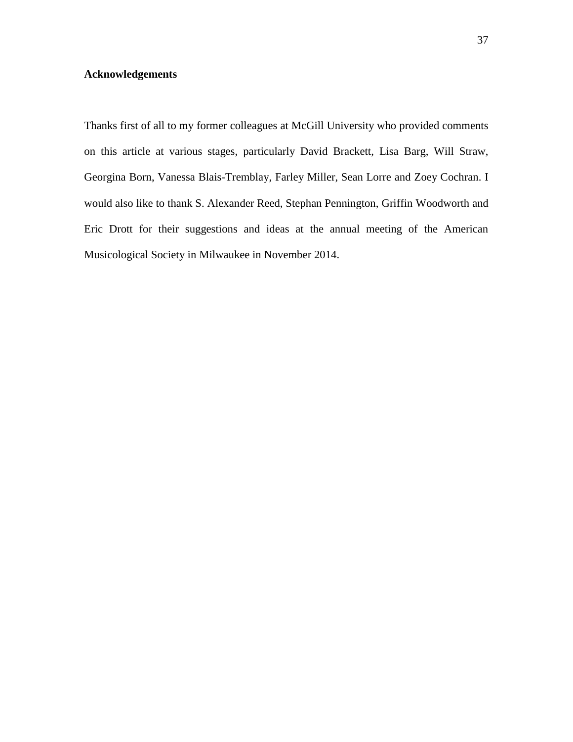## **Acknowledgements**

Thanks first of all to my former colleagues at McGill University who provided comments on this article at various stages, particularly David Brackett, Lisa Barg, Will Straw, Georgina Born, Vanessa Blais-Tremblay, Farley Miller, Sean Lorre and Zoey Cochran. I would also like to thank S. Alexander Reed, Stephan Pennington, Griffin Woodworth and Eric Drott for their suggestions and ideas at the annual meeting of the American Musicological Society in Milwaukee in November 2014.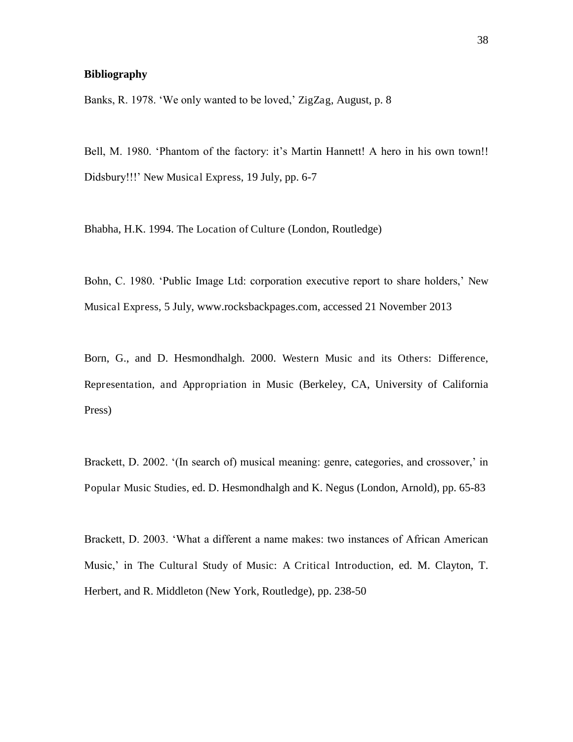#### **Bibliography**

Banks, R. 1978. 'We only wanted to be loved,' ZigZag, August, p. 8

Bell, M. 1980. 'Phantom of the factory: it's Martin Hannett! A hero in his own town!! Didsbury!!!' New Musical Express, 19 July, pp. 6-7

Bhabha, H.K. 1994. The Location of Culture (London, Routledge)

Bohn, C. 1980. 'Public Image Ltd: corporation executive report to share holders,' New Musical Express, 5 July, www.rocksbackpages.com, accessed 21 November 2013

Born, G., and D. Hesmondhalgh. 2000. Western Music and its Others: Difference, Representation, and Appropriation in Music (Berkeley, CA, University of California Press)

Brackett, D. 2002. '(In search of) musical meaning: genre, categories, and crossover,' in Popular Music Studies, ed. D. Hesmondhalgh and K. Negus (London, Arnold), pp. 65-83

Brackett, D. 2003. 'What a different a name makes: two instances of African American Music,' in The Cultural Study of Music: A Critical Introduction, ed. M. Clayton, T. Herbert, and R. Middleton (New York, Routledge), pp. 238-50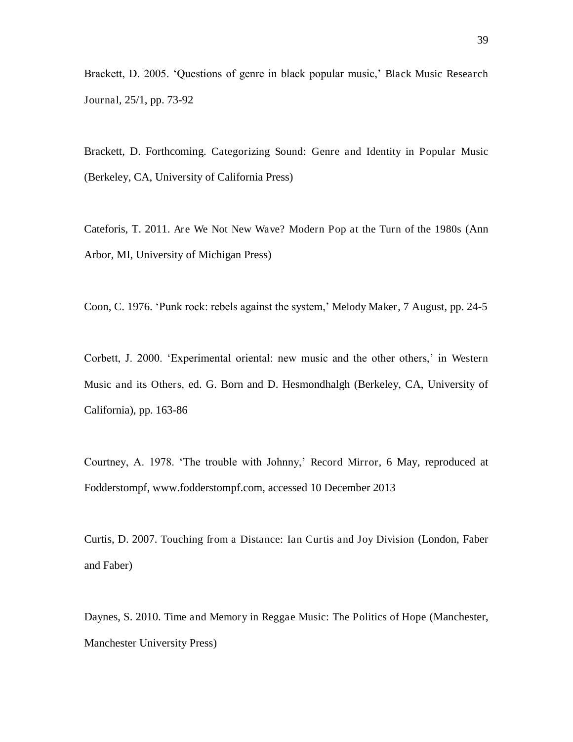Brackett, D. 2005. 'Questions of genre in black popular music,' Black Music Research Journal, 25/1, pp. 73-92

Brackett, D. Forthcoming. Categorizing Sound: Genre and Identity in Popular Music (Berkeley, CA, University of California Press)

Cateforis, T. 2011. Are We Not New Wave? Modern Pop at the Turn of the 1980s (Ann Arbor, MI, University of Michigan Press)

Coon, C. 1976. 'Punk rock: rebels against the system,' Melody Maker, 7 August, pp. 24-5

Corbett, J. 2000. 'Experimental oriental: new music and the other others,' in Western Music and its Others, ed. G. Born and D. Hesmondhalgh (Berkeley, CA, University of California), pp. 163-86

Courtney, A. 1978. 'The trouble with Johnny,' Record Mirror, 6 May, reproduced at Fodderstompf, www.fodderstompf.com, accessed 10 December 2013

Curtis, D. 2007. Touching from a Distance: Ian Curtis and Joy Division (London, Faber and Faber)

Daynes, S. 2010. Time and Memory in Reggae Music: The Politics of Hope (Manchester, Manchester University Press)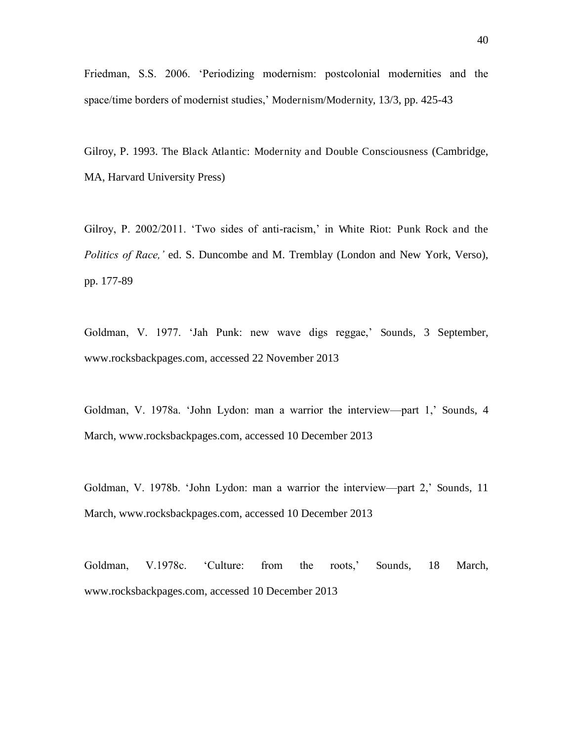Friedman, S.S. 2006. 'Periodizing modernism: postcolonial modernities and the space/time borders of modernist studies,' Modernism/Modernity, 13/3, pp. 425-43

Gilroy, P. 1993. The Black Atlantic: Modernity and Double Consciousness (Cambridge, MA, Harvard University Press)

Gilroy, P. 2002/2011. 'Two sides of anti-racism,' in White Riot: Punk Rock and the *Politics of Race,'* ed. S. Duncombe and M. Tremblay (London and New York, Verso), pp. 177-89

Goldman, V. 1977. 'Jah Punk: new wave digs reggae,' Sounds, 3 September, www.rocksbackpages.com, accessed 22 November 2013

Goldman, V. 1978a. 'John Lydon: man a warrior the interview—part 1,' Sounds, 4 March, www.rocksbackpages.com, accessed 10 December 2013

Goldman, V. 1978b. 'John Lydon: man a warrior the interview—part 2,' Sounds, 11 March, www.rocksbackpages.com, accessed 10 December 2013

Goldman, V.1978c. 'Culture: from the roots,' Sounds, 18 March, www.rocksbackpages.com, accessed 10 December 2013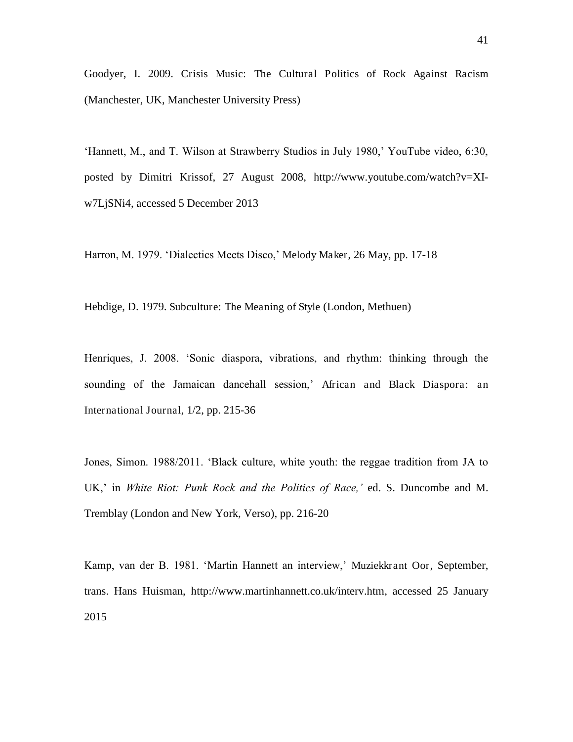Goodyer, I. 2009. Crisis Music: The Cultural Politics of Rock Against Racism (Manchester, UK, Manchester University Press)

'Hannett, M., and T. Wilson at Strawberry Studios in July 1980,' YouTube video, 6:30, posted by Dimitri Krissof, 27 August 2008, http://www.youtube.com/watch?v=XIw7LjSNi4, accessed 5 December 2013

Harron, M. 1979. 'Dialectics Meets Disco,' Melody Maker, 26 May, pp. 17-18

Hebdige, D. 1979. Subculture: The Meaning of Style (London, Methuen)

Henriques, J. 2008. 'Sonic diaspora, vibrations, and rhythm: thinking through the sounding of the Jamaican dancehall session,' African and Black Diaspora: an International Journal, 1/2, pp. 215-36

Jones, Simon. 1988/2011. 'Black culture, white youth: the reggae tradition from JA to UK,' in *White Riot: Punk Rock and the Politics of Race,'* ed. S. Duncombe and M. Tremblay (London and New York, Verso), pp. 216-20

Kamp, van der B. 1981. 'Martin Hannett an interview,' Muziekkrant Oor, September, trans. Hans Huisman, http://www.martinhannett.co.uk/interv.htm, accessed 25 January 2015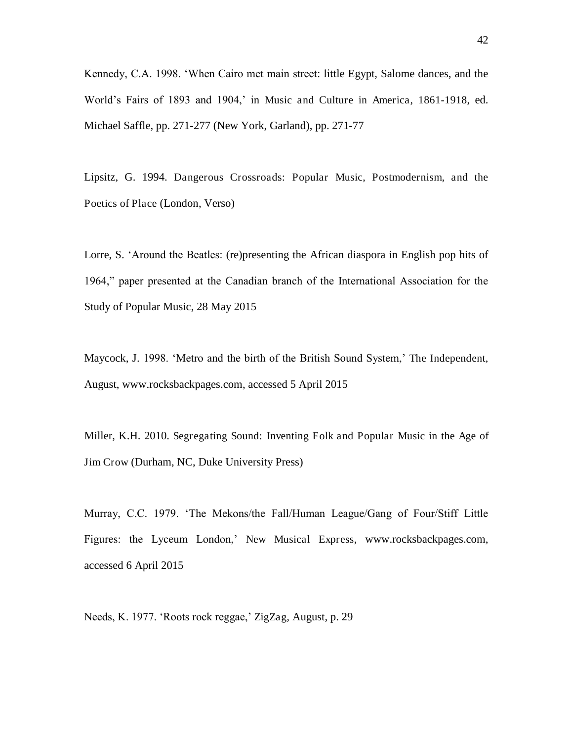Kennedy, C.A. 1998. 'When Cairo met main street: little Egypt, Salome dances, and the World's Fairs of 1893 and 1904,' in Music and Culture in America, 1861-1918, ed. Michael Saffle, pp. 271-277 (New York, Garland), pp. 271-77

Lipsitz, G. 1994. Dangerous Crossroads: Popular Music, Postmodernism, and the Poetics of Place (London, Verso)

Lorre, S. 'Around the Beatles: (re)presenting the African diaspora in English pop hits of 1964," paper presented at the Canadian branch of the International Association for the Study of Popular Music, 28 May 2015

Maycock, J. 1998. 'Metro and the birth of the British Sound System,' The Independent, August, www.rocksbackpages.com, accessed 5 April 2015

Miller, K.H. 2010. Segregating Sound: Inventing Folk and Popular Music in the Age of Jim Crow (Durham, NC, Duke University Press)

Murray, C.C. 1979. 'The Mekons/the Fall/Human League/Gang of Four/Stiff Little Figures: the Lyceum London,' New Musical Express, www.rocksbackpages.com, accessed 6 April 2015

Needs, K. 1977. 'Roots rock reggae,' ZigZag, August, p. 29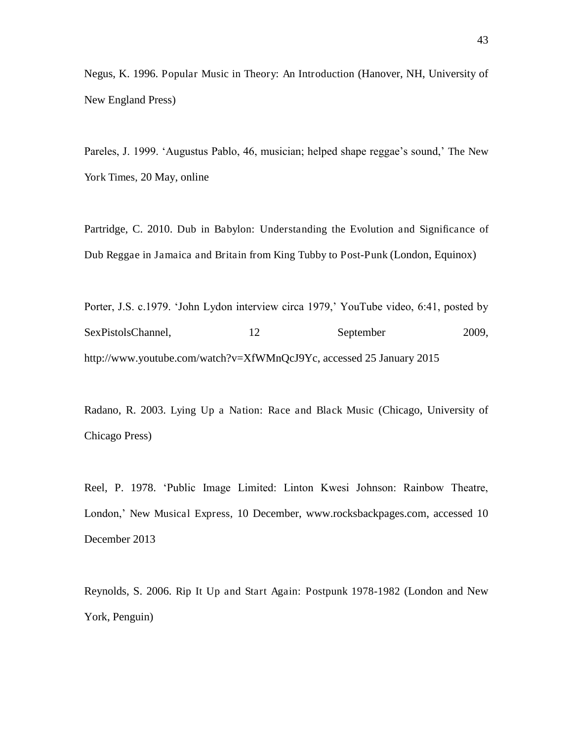Negus, K. 1996. Popular Music in Theory: An Introduction (Hanover, NH, University of New England Press)

Pareles, J. 1999. 'Augustus Pablo, 46, musician; helped shape reggae's sound,' The New York Times, 20 May, online

Partridge, C. 2010. Dub in Babylon: Understanding the Evolution and Significance of Dub Reggae in Jamaica and Britain from King Tubby to Post-Punk (London, Equinox)

Porter, J.S. c.1979. 'John Lydon interview circa 1979,' YouTube video, 6:41, posted by SexPistolsChannel, 12 September 2009, http://www.youtube.com/watch?v=XfWMnQcJ9Yc, accessed 25 January 2015

Radano, R. 2003. Lying Up a Nation: Race and Black Music (Chicago, University of Chicago Press)

Reel, P. 1978. 'Public Image Limited: Linton Kwesi Johnson: Rainbow Theatre, London,' New Musical Express, 10 December, www.rocksbackpages.com, accessed 10 December 2013

Reynolds, S. 2006. Rip It Up and Start Again: Postpunk 1978-1982 (London and New York, Penguin)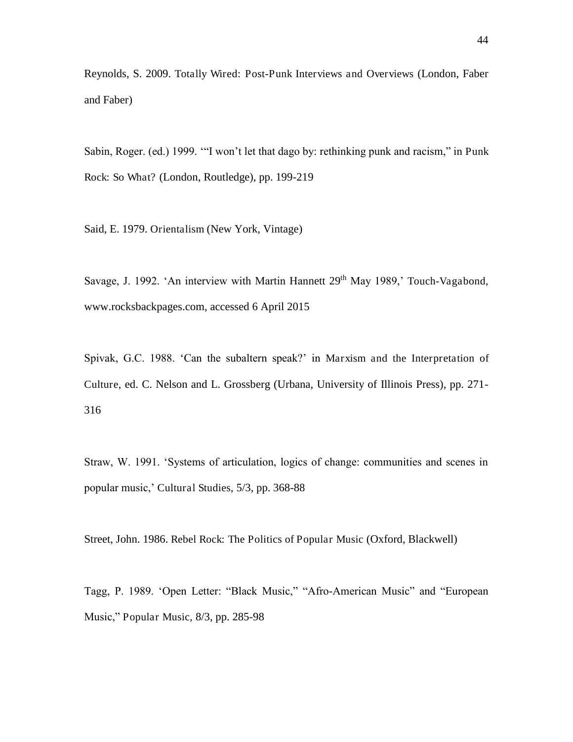Reynolds, S. 2009. Totally Wired: Post-Punk Interviews and Overviews (London, Faber and Faber)

Sabin, Roger. (ed.) 1999. '"I won't let that dago by: rethinking punk and racism," in Punk Rock: So What? (London, Routledge), pp. 199-219

Said, E. 1979. Orientalism (New York, Vintage)

Savage, J. 1992. 'An interview with Martin Hannett 29<sup>th</sup> May 1989,' Touch-Vagabond, www.rocksbackpages.com, accessed 6 April 2015

Spivak, G.C. 1988. 'Can the subaltern speak?' in Marxism and the Interpretation of Culture, ed. C. Nelson and L. Grossberg (Urbana, University of Illinois Press), pp. 271- 316

Straw, W. 1991. 'Systems of articulation, logics of change: communities and scenes in popular music,' Cultural Studies, 5/3, pp. 368-88

Street, John. 1986. Rebel Rock: The Politics of Popular Music (Oxford, Blackwell)

Tagg, P. 1989. 'Open Letter: "Black Music," "Afro-American Music" and "European Music," Popular Music, 8/3, pp. 285-98